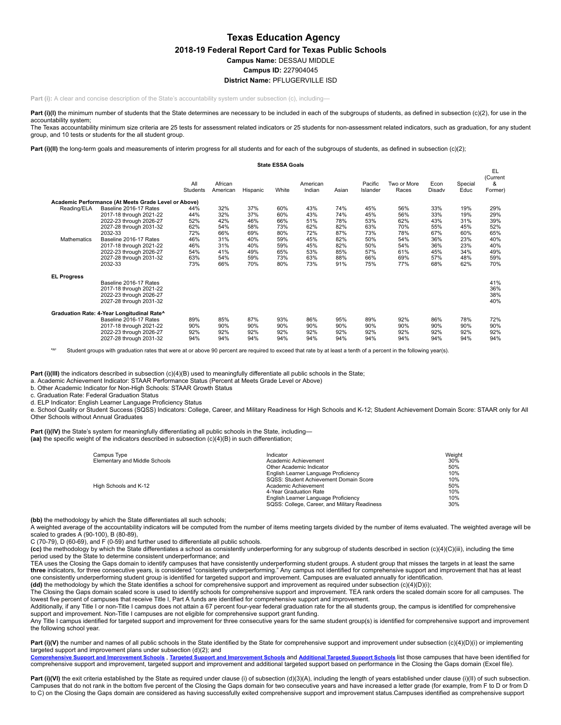# **Texas Education Agency 2018-19 Federal Report Card for Texas Public Schools Campus Name:** DESSAU MIDDLE **Campus ID:** 227904045 **District Name:** PFLUGERVILLE ISD

Part (i): A clear and concise description of the State's accountability system under subsection (c), including—

Part (i)(I) the minimum number of students that the State determines are necessary to be included in each of the subgroups of students, as defined in subsection (c)(2), for use in the accountability system;

The Texas accountability minimum size criteria are 25 tests for assessment related indicators or 25 students for non-assessment related indicators, such as graduation, for any student group, and 10 tests or students for the all student group.

Part (i)(II) the long-term goals and measurements of interim progress for all students and for each of the subgroups of students, as defined in subsection (c)(2);

|                                   |                                                                                                                                                                                                                                          |                                                                    |                                                                    |                                                                    | <b>State ESSA Goals</b>                                            |                                                                    |                                                                    |                                                                    |                                                                    |                                                                    |                                                                    |                                                                    |
|-----------------------------------|------------------------------------------------------------------------------------------------------------------------------------------------------------------------------------------------------------------------------------------|--------------------------------------------------------------------|--------------------------------------------------------------------|--------------------------------------------------------------------|--------------------------------------------------------------------|--------------------------------------------------------------------|--------------------------------------------------------------------|--------------------------------------------------------------------|--------------------------------------------------------------------|--------------------------------------------------------------------|--------------------------------------------------------------------|--------------------------------------------------------------------|
|                                   |                                                                                                                                                                                                                                          | All<br><b>Students</b>                                             | African<br>American                                                | Hispanic                                                           | White                                                              | American<br>Indian                                                 | Asian                                                              | Pacific<br>Islander                                                | Two or More<br>Races                                               | Econ<br>Disadv                                                     | Special<br>Educ                                                    | EL<br>(Current<br>&<br>Former)                                     |
|                                   | Academic Performance (At Meets Grade Level or Above)                                                                                                                                                                                     |                                                                    |                                                                    |                                                                    |                                                                    |                                                                    |                                                                    |                                                                    |                                                                    |                                                                    |                                                                    |                                                                    |
| Reading/ELA<br><b>Mathematics</b> | Baseline 2016-17 Rates<br>2017-18 through 2021-22<br>2022-23 through 2026-27<br>2027-28 through 2031-32<br>2032-33<br>Baseline 2016-17 Rates<br>2017-18 through 2021-22<br>2022-23 through 2026-27<br>2027-28 through 2031-32<br>2032-33 | 44%<br>44%<br>52%<br>62%<br>72%<br>46%<br>46%<br>54%<br>63%<br>73% | 32%<br>32%<br>42%<br>54%<br>66%<br>31%<br>31%<br>41%<br>54%<br>66% | 37%<br>37%<br>46%<br>58%<br>69%<br>40%<br>40%<br>49%<br>59%<br>70% | 60%<br>60%<br>66%<br>73%<br>80%<br>59%<br>59%<br>65%<br>73%<br>80% | 43%<br>43%<br>51%<br>62%<br>72%<br>45%<br>45%<br>53%<br>63%<br>73% | 74%<br>74%<br>78%<br>82%<br>87%<br>82%<br>82%<br>85%<br>88%<br>91% | 45%<br>45%<br>53%<br>63%<br>73%<br>50%<br>50%<br>57%<br>66%<br>75% | 56%<br>56%<br>62%<br>70%<br>78%<br>54%<br>54%<br>61%<br>69%<br>77% | 33%<br>33%<br>43%<br>55%<br>67%<br>36%<br>36%<br>45%<br>57%<br>68% | 19%<br>19%<br>31%<br>45%<br>60%<br>23%<br>23%<br>34%<br>48%<br>62% | 29%<br>29%<br>39%<br>52%<br>65%<br>40%<br>40%<br>49%<br>59%<br>70% |
| <b>EL Progress</b>                | Baseline 2016-17 Rates<br>2017-18 through 2021-22<br>2022-23 through 2026-27<br>2027-28 through 2031-32                                                                                                                                  |                                                                    |                                                                    |                                                                    |                                                                    |                                                                    |                                                                    |                                                                    |                                                                    |                                                                    |                                                                    | 41%<br>36%<br>38%<br>40%                                           |
|                                   | Graduation Rate: 4-Year Longitudinal Rate^<br>Baseline 2016-17 Rates<br>2017-18 through 2021-22<br>2022-23 through 2026-27<br>2027-28 through 2031-32                                                                                    | 89%<br>90%<br>92%<br>94%                                           | 85%<br>90%<br>92%<br>94%                                           | 87%<br>90%<br>92%<br>94%                                           | 93%<br>90%<br>92%<br>94%                                           | 86%<br>90%<br>92%<br>94%                                           | 95%<br>90%<br>92%<br>94%                                           | 89%<br>90%<br>92%<br>94%                                           | 92%<br>90%<br>92%<br>94%                                           | 86%<br>90%<br>92%<br>94%                                           | 78%<br>90%<br>92%<br>94%                                           | 72%<br>90%<br>92%<br>94%                                           |

Student groups with graduation rates that were at or above 90 percent are required to exceed that rate by at least a tenth of a percent in the following year(s).

**Part (i)(III)** the indicators described in subsection (c)(4)(B) used to meaningfully differentiate all public schools in the State;

a. Academic Achievement Indicator: STAAR Performance Status (Percent at Meets Grade Level or Above)

b. Other Academic Indicator for Non-High Schools: STAAR Growth Status

c. Graduation Rate: Federal Graduation Status

d. ELP Indicator: English Learner Language Proficiency Status

e. School Quality or Student Success (SQSS) Indicators: College, Career, and Military Readiness for High Schools and K-12; Student Achievement Domain Score: STAAR only for All Other Schools without Annual Graduates

**Part (i)(IV)** the State's system for meaningfully differentiating all public schools in the State, including-**(aa)** the specific weight of the indicators described in subsection (c)(4)(B) in such differentiation;

| Campus Type                   | Indicator                                     | Weiaht |
|-------------------------------|-----------------------------------------------|--------|
| Elementary and Middle Schools | Academic Achievement                          | 30%    |
|                               | Other Academic Indicator                      | 50%    |
|                               | English Learner Language Proficiency          | 10%    |
|                               | SQSS: Student Achievement Domain Score        | 10%    |
| High Schools and K-12         | Academic Achievement                          | 50%    |
|                               | 4-Year Graduation Rate                        | 10%    |
|                               | English Learner Language Proficiency          | 10%    |
|                               | SQSS: College, Career, and Military Readiness | 30%    |
|                               |                                               |        |

**(bb)** the methodology by which the State differentiates all such schools;

A weighted average of the accountability indicators will be computed from the number of items meeting targets divided by the number of items evaluated. The weighted average will be scaled to grades A (90-100), B (80-89),

C (70-79), D (60-69), and F (0-59) and further used to differentiate all public schools.

**(cc)** the methodology by which the State differentiates a school as consistently underperforming for any subgroup of students described in section (c)(4)(C)(iii), including the time period used by the State to determine consistent underperformance; and

TEA uses the Closing the Gaps domain to identify campuses that have consistently underperforming student groups. A student group that misses the targets in at least the same<br>**three** indicators, for three consecutive years, one consistently underperforming student group is identified for targeted support and improvement. Campuses are evaluated annually for identification. **(dd)** the methodology by which the State identifies a school for comprehensive support and improvement as required under subsection (c)(4)(D)(i);

The Closing the Gaps domain scaled score is used to identify schools for comprehensive support and improvement. TEA rank orders the scaled domain score for all campuses. The lowest five percent of campuses that receive Title I, Part A funds are identified for comprehensive support and improvement.

Additionally, if any Title I or non-Title I campus does not attain a 67 percent four-year federal graduation rate for the all students group, the campus is identified for comprehensive support and improvement. Non-Title I campuses are not eligible for comprehensive support grant funding.

Any Title I campus identified for targeted support and improvement for three consecutive years for the same student group(s) is identified for comprehensive support and improvement the following school year.

Part (i)(V) the number and names of all public schools in the State identified by the State for comprehensive support and improvement under subsection (c)(4)(D)(i) or implementing targeted support and improvement plans under subsection (d)(2); and

re Support and [Improvement](https://tea.texas.gov/sites/default/files/target_support_2019.xlsx) Schools, Targeted Support and Improvement Schools and [Additional](https://tea.texas.gov/sites/default/files/additional_targeted_support_2019.xlsx) Targeted Support Schools</u> list those campuses that have been identified for comprehensive support and improvement, targeted support and improvement and additional targeted support based on performance in the Closing the Gaps domain (Excel file).

Part (i)(VI) the exit criteria established by the State as required under clause (i) of subsection (d)(3)(A), including the length of years established under clause (i)(II) of such subsection. Campuses that do not rank in the bottom five percent of the Closing the Gaps domain for two consecutive years and have increased a letter grade (for example, from F to D or from D to C) on the Closing the Gaps domain are considered as having successfully exited comprehensive support and improvement status.Campuses identified as comprehensive support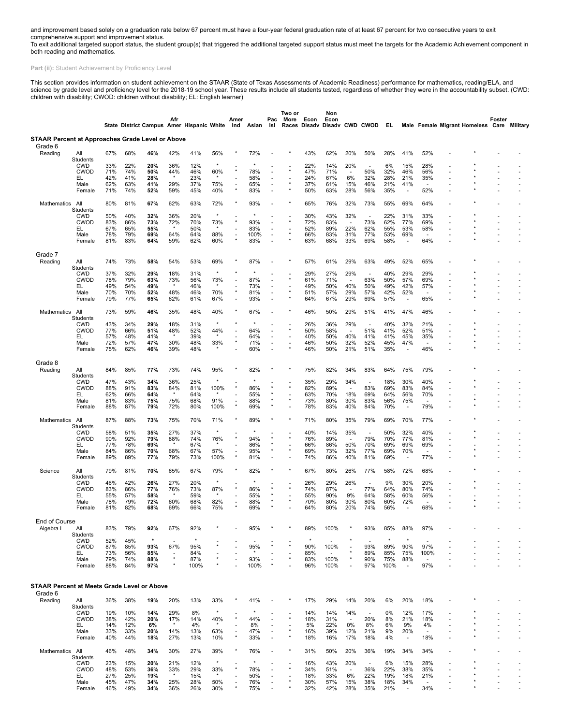and improvement based solely on a graduation rate below 67 percent must have a four-year federal graduation rate of at least 67 percent for two consecutive years to exit<br>comprehensive support and improvement status.<br>To exi

**Part (ii):** Student Achievement by Proficiency Level

This section provides information on student achievement on the STAAR (State of Texas Assessments of Academic Readiness) performance for mathematics, reading/ELA, and science by grade level and proficiency level for the 2018-19 school year. These results include all students tested, regardless of whether they were in the accountability subset. (CWD:<br>children with disability; CWOD: child

|                                                               |                           |            |            |            | Afr                             |                                           |                | Amer    |            | Pac                                                  | Two or<br>More | Econ       | Non<br>Econ                  |                                 |                          |            |                                 |                                 |                                            | Foster |  |
|---------------------------------------------------------------|---------------------------|------------|------------|------------|---------------------------------|-------------------------------------------|----------------|---------|------------|------------------------------------------------------|----------------|------------|------------------------------|---------------------------------|--------------------------|------------|---------------------------------|---------------------------------|--------------------------------------------|--------|--|
| <b>STAAR Percent at Approaches Grade Level or Above</b>       |                           |            |            |            |                                 | State District Campus Amer Hispanic White |                | Ind     | Asian      | Isl                                                  |                |            | Races Disady Disady CWD CWOD |                                 |                          | EL.        |                                 |                                 | Male Female Migrant Homeless Care Military |        |  |
| Grade 6                                                       |                           |            |            |            |                                 |                                           |                |         |            |                                                      |                |            |                              |                                 |                          |            |                                 |                                 |                                            |        |  |
| Reading                                                       | All<br>Students           | 67%        | 68%        | 46%        | 42%                             | 41%                                       | 56%            |         | 72%        |                                                      |                | 43%        | 62%                          | 20%                             | 50%                      | 28%        | 41%                             | 52%                             |                                            |        |  |
|                                                               | <b>CWD</b>                | 33%        | 22%        | 20%        | 36%                             | 12%                                       |                |         |            |                                                      |                | 22%        | 14%                          | 20%                             | $\overline{\phantom{a}}$ | 6%         | 15%                             | 28%                             |                                            |        |  |
|                                                               | <b>CWOD</b><br>EL         | 71%<br>42% | 74%<br>41% | 50%<br>28% | 44%                             | 46%<br>23%                                | 60%            |         | 78%<br>58% | $\overline{\phantom{a}}$                             |                | 47%<br>24% | 71%<br>67%                   | 6%                              | 50%<br>32%               | 32%<br>28% | 46%<br>21%                      | 56%<br>35%                      |                                            |        |  |
|                                                               | Male                      | 62%        | 63%        | 41%        | 29%                             | 37%                                       | 75%            |         | 65%        | $\blacksquare$                                       |                | 37%        | 61%                          | 15%                             | 46%                      | 21%        | 41%                             |                                 |                                            |        |  |
|                                                               | Female                    | 71%        | 74%        | 52%        | 59%                             | 45%                                       | 40%            | $\star$ | 83%        | ٠                                                    |                | 50%        | 63%                          | 28%                             | 56%                      | 35%        | $\blacksquare$                  | 52%                             |                                            |        |  |
| <b>Mathematics</b>                                            | All<br>Students           | 80%        | 81%        | 67%        | 62%                             | 63%                                       | 72%            |         | 93%        |                                                      |                | 65%        | 76%                          | 32%                             | 73%                      | 55%        | 69%                             | 64%                             |                                            |        |  |
|                                                               | <b>CWD</b>                | 50%        | 40%        | 32%        | 36%                             | 20%                                       | $\star$        |         | $\star$    |                                                      |                | 30%        | 43%                          | 32%                             |                          | 22%        | 31%                             | 33%                             |                                            |        |  |
|                                                               | <b>CWOD</b><br>EL         | 83%<br>67% | 86%<br>65% | 73%<br>55% | 72%                             | 70%<br>50%                                | 73%            |         | 93%<br>83% | $\overline{\phantom{a}}$<br>$\overline{\phantom{a}}$ |                | 72%<br>52% | 83%<br>89%                   | $\sim$<br>22%                   | 73%<br>62%               | 62%<br>55% | 77%<br>53%                      | 69%<br>58%                      |                                            |        |  |
|                                                               | Male                      | 78%        | 79%        | 69%        | 64%                             | 64%                                       | 88%            | $\star$ | 100%       | $\overline{\phantom{a}}$                             |                | 66%        | 83%                          | 31%                             | 77%                      | 53%        | 69%                             |                                 |                                            |        |  |
|                                                               | Female                    | 81%        | 83%        | 64%        | 59%                             | 62%                                       | 60%            |         | 83%        |                                                      |                | 63%        | 68%                          | 33%                             | 69%                      | 58%        | ÷,                              | 64%                             |                                            |        |  |
| Grade 7                                                       |                           |            |            |            |                                 |                                           |                |         |            |                                                      |                |            |                              |                                 |                          |            |                                 |                                 |                                            |        |  |
| Reading                                                       | All                       | 74%        | 73%        | 58%        | 54%                             | 53%                                       | 69%            |         | 87%        |                                                      |                | 57%        | 61%                          | 29%                             | 63%                      | 49%        | 52%                             | 65%                             |                                            |        |  |
|                                                               | Students<br><b>CWD</b>    | 37%        | 32%        | 29%        | 18%                             | 31%                                       |                |         |            |                                                      |                | 29%        | 27%                          | 29%                             |                          | 40%        | 29%                             | 29%                             |                                            |        |  |
|                                                               | <b>CWOD</b>               | 78%        | 79%        | 63%        | 73%                             | 56%                                       | 73%            |         | 87%        | ÷,                                                   |                | 61%        | 71%                          | $\sim$                          | 63%                      | 50%        | 57%                             | 69%                             |                                            |        |  |
|                                                               | EL<br>Male                | 49%<br>70% | 54%<br>70% | 49%<br>52% | 48%                             | 46%<br>46%                                | $\star$<br>70% | $\sim$  | 73%<br>81% | ÷,                                                   |                | 49%<br>51% | 50%<br>57%                   | 40%<br>29%                      | 50%<br>57%               | 49%<br>42% | 42%<br>52%                      | 57%<br>÷                        |                                            |        |  |
|                                                               | Female                    | 79%        | 77%        | 65%        | 62%                             | 61%                                       | 67%            |         | 93%        | ٠                                                    |                | 64%        | 67%                          | 29%                             | 69%                      | 57%        | $\overline{\phantom{a}}$        | 65%                             |                                            |        |  |
| Mathematics                                                   | All                       | 73%        | 59%        | 46%        | 35%                             | 48%                                       | 40%            |         | 67%        |                                                      |                | 46%        | 50%                          | 29%                             | 51%                      | 41%        | 47%                             | 46%                             |                                            |        |  |
|                                                               | Students<br><b>CWD</b>    | 43%        | 34%        | 29%        | 18%                             | 31%                                       |                |         |            |                                                      |                | 26%        | 36%                          | 29%                             |                          | 40%        | 32%                             | 21%                             |                                            |        |  |
|                                                               | <b>CWOD</b>               | 77%        | 66%        | 51%        | 48%                             | 52%                                       | 44%            |         | 64%        | ä,                                                   |                | 50%        | 58%                          | $\sim$                          | 51%                      | 41%        | 52%                             | 51%                             |                                            |        |  |
|                                                               | EL<br>Male                | 57%<br>72% | 48%<br>57% | 41%<br>47% | 30%                             | 39%<br>48%                                | 33%            |         | 64%<br>71% | ÷,<br>$\overline{\phantom{a}}$                       |                | 40%<br>46% | 50%<br>50%                   | 40%<br>32%                      | 41%<br>52%               | 41%<br>45% | 45%<br>47%                      | 35%<br>$\overline{a}$           |                                            |        |  |
|                                                               | Female                    | 75%        | 62%        | 46%        | 39%                             | 48%                                       |                |         | 60%        | ÷,                                                   |                | 46%        | 50%                          | 21%                             | 51%                      | 35%        | $\overline{\phantom{a}}$        | 46%                             |                                            |        |  |
| Grade 8                                                       |                           |            |            |            |                                 |                                           |                |         |            |                                                      |                |            |                              |                                 |                          |            |                                 |                                 |                                            |        |  |
| Reading                                                       | All<br>Students           | 84%        | 85%        | 77%        | 73%                             | 74%                                       | 95%            |         | 82%        |                                                      |                | 75%        | 82%                          | 34%                             | 83%                      | 64%        | 75%                             | 79%                             |                                            |        |  |
|                                                               | <b>CWD</b>                | 47%        | 43%        | 34%        | 36%                             | 25%                                       |                |         |            |                                                      |                | 35%        | 29%                          | 34%                             |                          | 18%        | 30%                             | 40%                             |                                            |        |  |
|                                                               | <b>CWOD</b><br>EL         | 88%<br>62% | 91%<br>66% | 83%<br>64% | 84%                             | 81%<br>64%                                | 100%           |         | 86%<br>55% | $^{\star}$<br>$^\star$                               | $\star$        | 82%<br>63% | 89%<br>70%                   | $\sim$<br>18%                   | 83%<br>69%               | 69%<br>64% | 83%<br>56%                      | 84%<br>70%                      |                                            |        |  |
|                                                               | Male                      | 81%        | 83%        | 75%        | 75%                             | 68%                                       | 91%            |         | 88%        | $\star$                                              |                | 73%        | 80%                          | 30%                             | 83%                      | 56%        | 75%                             | $\overline{a}$                  |                                            |        |  |
|                                                               | Female                    | 88%        | 87%        | 79%        | 72%                             | 80%                                       | 100%           | $\star$ | 69%        |                                                      |                | 78%        | 83%                          | 40%                             | 84%                      | 70%        | $\blacksquare$                  | 79%                             |                                            |        |  |
| Mathematics                                                   | All<br>Students           | 87%        | 88%        | 73%        | 75%                             | 70%                                       | 71%            |         | 89%        |                                                      |                | 71%        | 80%                          | 35%                             | 79%                      | 69%        | 70%                             | 77%                             |                                            |        |  |
|                                                               | <b>CWD</b>                | 58%        | 51%        | 35%        | 27%                             | 37%                                       |                |         |            |                                                      |                | 40%        | 14%                          | 35%                             | ٠.                       | 50%        | 32%                             | 40%                             |                                            |        |  |
|                                                               | <b>CWOD</b>               | 90%        | 92%        | 79%        | 88%                             | 74%                                       | 76%            |         | 94%        | $\star$                                              |                | 76%        | 89%                          |                                 | 79%                      | 70%        | 77%                             | 81%                             |                                            |        |  |
|                                                               | EL<br>Male                | 77%<br>84% | 78%<br>86% | 69%<br>70% | 68%                             | 67%<br>67%                                | 57%            | $\sim$  | 86%<br>95% | $\star$                                              |                | 66%<br>69% | 86%<br>73%                   | 50%<br>32%                      | 70%<br>77%               | 69%<br>69% | 69%<br>70%                      | 69%<br>$\sim$                   |                                            |        |  |
|                                                               | Female                    | 89%        | 89%        | 77%        | 79%                             | 73%                                       | 100%           |         | 81%        |                                                      |                | 74%        | 86%                          | 40%                             | 81%                      | 69%        | $\overline{\phantom{a}}$        | 77%                             |                                            |        |  |
| Science                                                       | All<br>Students           | 79%        | 81%        | 70%        | 65%                             | 67%                                       | 79%            |         | 82%        |                                                      |                | 67%        | 80%                          | 26%                             | 77%                      | 58%        | 72%                             | 68%                             |                                            |        |  |
|                                                               | <b>CWD</b>                | 46%        | 42%        | 26%        | 27%                             | 20%                                       |                |         |            |                                                      |                | 26%        | 29%                          | 26%                             |                          | 9%         | 30%                             | 20%                             |                                            |        |  |
|                                                               | <b>CWOD</b>               | 83%        | 86%        | 77%        | 76%                             | 73%                                       | 87%<br>$\star$ |         | 86%        | $\star$                                              |                | 74%        | 87%                          | $\overline{\phantom{a}}$<br>9%  | 77%<br>64%               | 64%<br>58% | 80%                             | 74%                             |                                            |        |  |
|                                                               | EL<br>Male                | 55%<br>78% | 57%<br>79% | 58%<br>72% | 60%                             | 59%<br>68%                                | 82%            |         | 55%<br>88% |                                                      |                | 55%<br>70% | 90%<br>80%                   | 30%                             | 80%                      | 60%        | 60%<br>72%                      | 56%                             |                                            |        |  |
|                                                               | Female                    | 81%        | 82%        | 68%        | 69%                             | 66%                                       | 75%            |         | 69%        |                                                      |                | 64%        | 80%                          | 20%                             | 74%                      | 56%        | $\blacksquare$                  | 68%                             |                                            |        |  |
| End of Course                                                 |                           |            |            |            |                                 |                                           |                |         |            |                                                      |                |            |                              |                                 |                          |            |                                 |                                 |                                            |        |  |
| Algebra I                                                     | All<br><b>Students</b>    | 83%        | 79%        | 92%        | 67%                             | 92%                                       |                |         | 95%        |                                                      |                | 89%        | 100%                         |                                 | 93%                      | 85%        | 88%                             | 97%                             |                                            |        |  |
|                                                               | <b>CWD</b>                | 52%        | 45%        | $\star$    |                                 | $\star$                                   |                |         |            |                                                      |                | $\star$    |                              |                                 |                          | $\star$    | $\star$                         |                                 |                                            |        |  |
|                                                               | <b>CWOD</b><br>EL.        | 87%<br>73% | 85%<br>56% | 93%<br>85% | 67%<br>$\overline{\phantom{a}}$ | 95%<br>84%                                |                |         | 95%        |                                                      |                | 90%<br>85% | 100%<br>$\overline{a}$       |                                 | 93%<br>89%               | 89%<br>85% | 90%<br>75%                      | 97%<br>100%                     |                                            |        |  |
|                                                               | Male                      | 79%        | 74%        | 88%        |                                 | 87%                                       |                |         | 93%        |                                                      |                | 83%        | 100%                         |                                 | 90%                      | 75%        | 88%                             |                                 |                                            |        |  |
|                                                               | Female                    | 88%        | 84%        | 97%        |                                 | 100%                                      |                |         | 100%       | $\star$                                              |                | 96%        | 100%                         |                                 | 97%                      | 100%       | $\overline{\phantom{a}}$        | 97%                             |                                            |        |  |
|                                                               |                           |            |            |            |                                 |                                           |                |         |            |                                                      |                |            |                              |                                 |                          |            |                                 |                                 |                                            |        |  |
| <b>STAAR Percent at Meets Grade Level or Above</b><br>Grade 6 |                           |            |            |            |                                 |                                           |                |         |            |                                                      |                |            |                              |                                 |                          |            |                                 |                                 |                                            |        |  |
| Reading                                                       | All                       | 36%        | 38%        | 19%        | 20%                             | 13%                                       | 33%            |         | 41%        |                                                      |                | 17%        | 29%                          | 14%                             | 20%                      | 6%         | 20%                             | 18%                             |                                            |        |  |
|                                                               | Students<br><b>CWD</b>    | 19%        | 10%        | 14%        | 29%                             | 8%                                        |                |         |            |                                                      |                | 14%        | 14%                          | 14%                             | $\overline{\phantom{a}}$ | 0%         | 12%                             | 17%                             |                                            |        |  |
|                                                               | <b>CWOD</b>               | 38%        | 42%        | 20%        | 17%                             | 14%                                       | 40%            |         | 44%        |                                                      | $\star$        | 18%        | 31%                          | $\sim$                          | 20%                      | 8%         | 21%                             | 18%                             |                                            |        |  |
|                                                               | EL                        | 14%        | 12%        | 6%         |                                 | 4%                                        |                |         | 8%         | ÷,                                                   |                | 5%         | 22%                          | 0%                              | 8%                       | 6%         | 9%                              | 4%                              |                                            |        |  |
|                                                               | Male<br>Female            | 33%<br>40% | 33%<br>44% | 20%<br>18% | 14%<br>27%                      | 13%<br>13%                                | 63%<br>10%     |         | 47%<br>33% | $\overline{\phantom{a}}$<br>ä,                       |                | 16%<br>18% | 39%<br>16%                   | 12%<br>17%                      | 21%<br>18%               | 9%<br>4%   | 20%<br>$\overline{\phantom{a}}$ | $\overline{a}$<br>18%           |                                            |        |  |
|                                                               |                           |            |            |            |                                 |                                           |                |         |            |                                                      |                |            |                              |                                 |                          |            |                                 |                                 |                                            |        |  |
| Mathematics                                                   | All<br>Students           | 46%        | 48%        | 34%        | 30%                             | 27%                                       | 39%            |         | 76%        |                                                      |                | 31%        | 50%                          | 20%                             | 36%                      | 19%        | 34%                             | 34%                             |                                            |        |  |
|                                                               | <b>CWD</b><br><b>CWOD</b> | 23%<br>48% | 15%<br>53% | 20%<br>36% | 21%<br>33%                      | 12%<br>29%                                | 33%            |         | 78%        | $\overline{a}$                                       |                | 16%<br>34% | 43%<br>51%                   | 20%<br>$\overline{\phantom{a}}$ | 36%                      | 6%<br>22%  | 15%<br>38%                      | 28%<br>35%                      |                                            |        |  |
|                                                               | EL.                       | 27%        | 25%        | 19%        |                                 | 15%                                       | $\star$        |         | 50%        |                                                      |                | 18%        | 33%                          | 6%                              | 22%                      | 19%        | 18%                             | 21%                             |                                            |        |  |
|                                                               | Male<br>Female            | 45%<br>46% | 47%<br>49% | 34%<br>34% | 25%<br>36%                      | 28%<br>26%                                | 50%<br>30%     |         | 76%<br>75% |                                                      |                | 30%<br>32% | 57%<br>42%                   | 15%<br>28%                      | 38%<br>35%               | 18%<br>21% | 34%<br>$\blacksquare$           | $\overline{\phantom{a}}$<br>34% |                                            |        |  |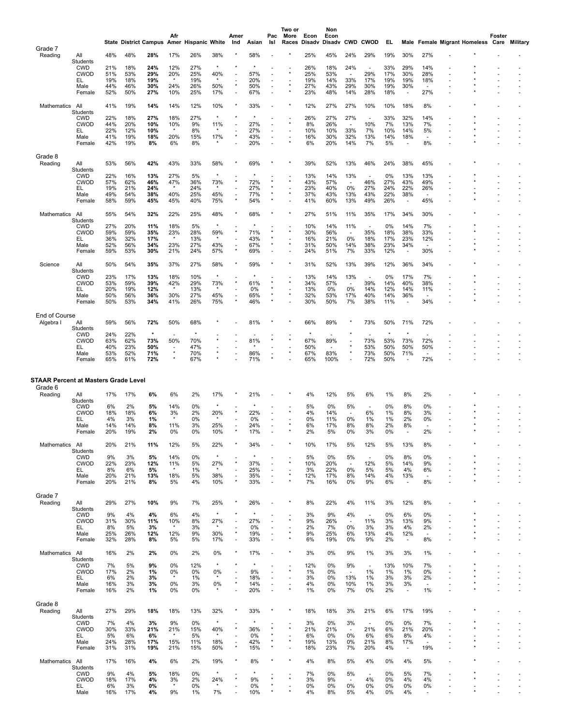|                                                        |                           |            |            | State District Campus Amer | Afr            | <b>Hispanic White</b> |                | Amer<br>Ind                         | Asian      | Pac<br>Isl               | Two or<br>More<br>Races | Econ<br>Disadv | Non<br>Econ<br>Disadv | <b>CWD</b>                      | <b>CWOD</b>              | EL.        |                                 |                                | Male Female Migrant Homeless Care | Foster | Military       |
|--------------------------------------------------------|---------------------------|------------|------------|----------------------------|----------------|-----------------------|----------------|-------------------------------------|------------|--------------------------|-------------------------|----------------|-----------------------|---------------------------------|--------------------------|------------|---------------------------------|--------------------------------|-----------------------------------|--------|----------------|
| Grade 7                                                |                           |            |            |                            |                |                       |                |                                     |            |                          |                         |                |                       |                                 |                          |            |                                 |                                |                                   |        |                |
| Reading                                                | All<br>Students           | 48%        | 48%        | 28%                        | 17%            | 26%                   | 38%            |                                     | 58%        |                          |                         | 25%            | 45%                   | 24%                             | 29%                      | 19%        | 30%                             | 27%                            |                                   |        |                |
|                                                        | <b>CWD</b><br><b>CWOD</b> | 21%<br>51% | 18%<br>53% | 24%<br>29%                 | 12%<br>20%     | 27%<br>25%            | 40%            |                                     | 57%        |                          |                         | 26%<br>25%     | 18%<br>53%            | 24%<br>$\sim$                   | 29%                      | 33%<br>17% | 29%<br>30%                      | 14%<br>28%                     |                                   |        |                |
|                                                        | EL                        | 19%        | 18%        | 19%                        | $\star$        | 19%                   | $\star$        |                                     | 20%        | ٠                        |                         | 19%            | 14%                   | 33%                             | 17%                      | 19%        | 19%                             | 18%                            |                                   |        |                |
|                                                        | Male<br>Female            | 44%<br>52% | 46%<br>50% | 30%<br>27%                 | 24%<br>10%     | 26%<br>25%            | 50%<br>17%     | $\sim$                              | 50%<br>67% | ÷,<br>÷,                 |                         | 27%<br>23%     | 43%<br>48%            | 29%<br>14%                      | 30%<br>28%               | 19%<br>18% | 30%<br>$\overline{\phantom{a}}$ | 27%                            |                                   |        |                |
|                                                        |                           |            |            |                            |                |                       |                |                                     |            |                          |                         |                |                       |                                 |                          |            |                                 |                                |                                   |        |                |
| Mathematics All                                        | Students                  | 41%        | 19%        | 14%                        | 14%            | 12%                   | 10%            |                                     | 33%        |                          |                         | 12%            | 27%                   | 27%                             | 10%                      | 10%        | 18%                             | 8%                             |                                   |        |                |
|                                                        | <b>CWD</b><br><b>CWOD</b> | 22%        | 18%        | 27%                        | 18%            | 27%                   | $\star$        |                                     |            |                          |                         | 26%            | 27%                   | 27%                             |                          | 33%        | 32%                             | 14%                            |                                   |        |                |
|                                                        | EL                        | 44%<br>22% | 20%<br>12% | 10%<br>10%                 | 10%<br>$\star$ | 9%<br>8%              | 11%            |                                     | 27%<br>27% | ٠                        |                         | 8%<br>10%      | 26%<br>10%            | 33%                             | 10%<br>7%                | 7%<br>10%  | 13%<br>14%                      | 7%<br>5%                       |                                   |        | $\sim$         |
|                                                        | Male<br>Female            | 41%<br>42% | 19%<br>19% | 18%<br>8%                  | 20%<br>6%      | 15%<br>8%             | 17%            |                                     | 43%<br>20% | ÷,                       |                         | 16%<br>6%      | 30%<br>20%            | 32%<br>14%                      | 13%<br>7%                | 14%<br>5%  | 18%<br>×                        | $\overline{\phantom{a}}$<br>8% |                                   |        |                |
|                                                        |                           |            |            |                            |                |                       |                |                                     |            |                          |                         |                |                       |                                 |                          |            |                                 |                                |                                   |        |                |
| Grade 8<br>Reading                                     | All                       | 53%        | 56%        | 42%                        | 43%            | 33%                   | 58%            |                                     | 69%        |                          |                         | 39%            | 52%                   | 13%                             | 46%                      | 24%        | 38%                             | 45%                            |                                   |        |                |
|                                                        | Students                  |            |            |                            |                |                       |                |                                     |            |                          |                         |                |                       |                                 |                          |            |                                 |                                |                                   |        |                |
|                                                        | <b>CWD</b><br><b>CWOD</b> | 22%<br>57% | 16%<br>62% | 13%<br>46%                 | 27%<br>47%     | 5%<br>36%             | $\star$<br>73% |                                     | 72%        |                          |                         | 13%<br>43%     | 14%<br>57%            | 13%<br>$\overline{\phantom{a}}$ | 46%                      | 0%<br>27%  | 13%<br>43%                      | 13%<br>49%                     |                                   |        |                |
|                                                        | EL<br>Male                | 19%<br>49% | 21%<br>54% | 24%<br>38%                 | $\star$<br>40% | 24%<br>25%            | 45%            | $\blacksquare$                      | 27%<br>77% |                          |                         | 23%<br>37%     | 40%<br>43%            | 0%<br>13%                       | 27%<br>43%               | 24%<br>22% | 22%<br>38%                      | 26%<br>$\sim$                  |                                   |        |                |
|                                                        | Female                    | 58%        | 59%        | 45%                        | 45%            | 40%                   | 75%            |                                     | 54%        | ×                        |                         | 41%            | 60%                   | 13%                             | 49%                      | 26%        | $\overline{\phantom{a}}$        | 45%                            |                                   |        |                |
| Mathematics                                            | All                       | 55%        | 54%        | 32%                        | 22%            | 25%                   | 48%            |                                     | 68%        |                          |                         | 27%            | 51%                   | 11%                             | 35%                      | 17%        | 34%                             | 30%                            |                                   |        |                |
|                                                        | Students                  |            |            |                            |                |                       |                |                                     |            |                          |                         |                |                       |                                 |                          |            |                                 |                                |                                   |        |                |
|                                                        | <b>CWD</b><br><b>CWOD</b> | 27%<br>59% | 20%<br>59% | 11%<br>35%                 | 18%<br>23%     | 5%<br>28%             | $\star$<br>59% |                                     | 71%        |                          |                         | 10%<br>30%     | 14%<br>56%            | 11%<br>$\overline{\phantom{a}}$ | 35%                      | 0%<br>18%  | 14%<br>38%                      | 7%<br>33%                      |                                   |        |                |
|                                                        | EL.                       | 36%        | 32%        | 17%                        | $\star$        | 13%                   | $\star$        |                                     | 43%        | $\star$                  |                         | 16%            | 21%                   | 0%                              | 18%                      | 17%        | 23%                             | 12%                            |                                   |        |                |
|                                                        | Male<br>Female            | 52%<br>59% | 56%<br>53% | 34%<br>30%                 | 23%<br>21%     | 27%<br>24%            | 43%<br>57%     |                                     | 67%<br>69% |                          |                         | 31%<br>24%     | 50%<br>51%            | 14%<br>7%                       | 38%<br>33%               | 23%<br>12% | 34%<br>$\overline{\phantom{a}}$ | 30%                            |                                   |        |                |
|                                                        |                           |            |            |                            |                |                       |                |                                     |            |                          |                         |                |                       |                                 |                          |            |                                 |                                |                                   |        |                |
| Science                                                | All<br>Students           | 50%        | 54%        | 35%                        | 37%            | 27%                   | 58%            |                                     | 59%        |                          |                         | 31%            | 52%                   | 13%                             | 39%                      | 12%        | 36%                             | 34%                            |                                   |        |                |
|                                                        | <b>CWD</b>                | 23%        | 17%        | 13%                        | 18%            | 10%                   |                |                                     |            |                          | $\star$                 | 13%            | 14%                   | 13%                             |                          | 0%         | 17%                             | 7%                             |                                   |        |                |
|                                                        | <b>CWOD</b><br>EL         | 53%<br>20% | 59%<br>19% | 39%<br>12%                 | 42%<br>$\star$ | 29%<br>13%            | 73%            |                                     | 61%<br>0%  |                          |                         | 34%<br>13%     | 57%<br>0%             | $\sim$<br>0%                    | 39%<br>14%               | 14%<br>12% | 40%<br>14%                      | 38%<br>11%                     |                                   |        | $\overline{a}$ |
|                                                        | Male<br>Female            | 50%<br>50% | 56%<br>53% | 36%<br>34%                 | 30%<br>41%     | 27%<br>26%            | 45%<br>75%     |                                     | 65%<br>46% | $\star$                  |                         | 32%<br>30%     | 53%<br>50%            | 17%<br>7%                       | 40%<br>38%               | 14%<br>11% | 36%<br>÷,                       | $\blacksquare$<br>34%          |                                   |        |                |
|                                                        |                           |            |            |                            |                |                       |                |                                     |            |                          |                         |                |                       |                                 |                          |            |                                 |                                |                                   |        |                |
| End of Course<br>Algebra I                             | All                       | 59%        | 56%        | 72%                        | 50%            | 68%                   |                |                                     | 81%        |                          |                         | 66%            | 89%                   |                                 | 73%                      | 50%        | 71%                             | 72%                            |                                   |        |                |
|                                                        | Students                  |            |            |                            |                |                       |                |                                     |            |                          |                         |                |                       |                                 |                          |            |                                 |                                |                                   |        |                |
|                                                        | <b>CWD</b><br><b>CWOD</b> | 24%<br>63% | 22%<br>62% | $\star$<br>73%             | 50%            | 70%                   |                |                                     | 81%        |                          | $\star$                 | 67%            | 89%                   |                                 | 73%                      | 53%        | $\star$<br>73%                  | 72%                            |                                   |        |                |
|                                                        | EL                        | 40%        | 23%        | 50%                        | $\star$        | 47%                   |                |                                     |            |                          |                         | 50%            |                       |                                 | 53%                      | 50%        | 50%                             | 50%                            |                                   |        |                |
|                                                        | Male<br>Female            | 53%<br>65% | 52%<br>61% | 71%<br>72%                 |                | 70%<br>67%            |                |                                     | 86%<br>71% | ٠                        |                         | 67%<br>65%     | 83%<br>100%           |                                 | 73%<br>72%               | 50%<br>50% | 71%<br>÷,                       | $\sim$<br>72%                  |                                   | ٠      |                |
|                                                        |                           |            |            |                            |                |                       |                |                                     |            |                          |                         |                |                       |                                 |                          |            |                                 |                                |                                   |        |                |
| <b>STAAR Percent at Masters Grade Level</b><br>Grade 6 |                           |            |            |                            |                |                       |                |                                     |            |                          |                         |                |                       |                                 |                          |            |                                 |                                |                                   |        |                |
| Reading                                                | All                       | 17%        | 17%        | 6%                         | 6%             | 2%                    | 17%            |                                     | 21%        |                          |                         | 4%             | 12%                   | 5%                              | 6%                       | 1%         | 8%                              | 2%                             |                                   |        |                |
|                                                        | Students<br><b>CWD</b>    | 6%         | 2%         | 5%                         | 14%            | 0%                    |                |                                     |            |                          |                         | 5%             | 0%                    | 5%                              | $\overline{\phantom{a}}$ | 0%         | 8%                              | 0%                             |                                   |        |                |
|                                                        | <b>CWOD</b><br>EL         | 18%<br>4%  | 18%<br>3%  | 6%<br>1%                   | 3%<br>$\star$  | 2%<br>0%              | 20%            |                                     | 22%<br>0%  | ٠                        |                         | 4%<br>0%       | 14%<br>11%            | $\overline{\phantom{a}}$<br>0%  | 6%<br>1%                 | 1%<br>1%   | 8%<br>2%                        | 3%<br>0%                       |                                   |        |                |
|                                                        | Male                      | 14%        | 14%        | 8%                         | 11%            | 3%                    | 25%            |                                     | 24%        | ٠                        |                         | 6%             | 17%                   | 8%                              | 8%                       | 2%         | 8%                              | $\sim$                         |                                   |        |                |
|                                                        | Female                    | 20%        | 19%        | 2%                         | 0%             | 0%                    | 10%            |                                     | 17%        |                          |                         | 2%             | 5%                    | 0%                              | 3%                       | 0%         |                                 | 2%                             |                                   |        |                |
| Mathematics                                            | All                       | 20%        | 21%        | 11%                        | 12%            | 5%                    | 22%            |                                     | 34%        |                          |                         | 10%            | 17%                   | 5%                              | 12%                      | 5%         | 13%                             | 8%                             |                                   |        |                |
|                                                        | <b>Students</b><br>CWD    | 9%         | 3%         | 5%                         | 14%            | 0%                    | $\star$        |                                     |            |                          |                         | 5%             | 0%                    | 5%                              |                          | 0%         | 8%                              | 0%                             |                                   |        |                |
|                                                        | <b>CWOD</b><br>EL         | 22%<br>8%  | 23%<br>6%  | 12%<br>5%                  | 11%<br>$\star$ | 5%<br>1%              | 27%<br>$\star$ |                                     | 37%<br>25% |                          |                         | 10%<br>3%      | 20%<br>22%            | $\overline{\phantom{a}}$<br>0%  | 12%<br>5%                | 5%<br>5%   | 14%<br>4%                       | 9%<br>6%                       |                                   |        |                |
|                                                        | Male                      | 20%        | 21%        | 13%                        | 18%            | 5%                    | 38%            |                                     | 35%        | $\overline{\phantom{a}}$ |                         | 12%            | 17%                   | 8%                              | 14%                      | 4%         | 13%                             |                                |                                   |        |                |
|                                                        | Female                    | 20%        | 21%        | 8%                         | 5%             | 4%                    | 10%            |                                     | 33%        | ٠                        |                         | 7%             | 16%                   | 0%                              | 9%                       | 6%         | $\blacksquare$                  | 8%                             |                                   |        |                |
| Grade 7                                                |                           |            |            |                            |                |                       |                |                                     |            |                          |                         |                |                       |                                 |                          |            |                                 |                                |                                   |        |                |
| Reading                                                | All<br>Students           | 29%        | 27%        | 10%                        | 9%             | 7%                    | 25%            |                                     | 26%        |                          |                         | 8%             | 22%                   | 4%                              | 11%                      | 3%         | 12%                             | 8%                             |                                   |        |                |
|                                                        | <b>CWD</b>                | 9%         | 4%         | 4%                         | 6%             | 4%                    | $\star$        |                                     |            |                          |                         | 3%             | 9%                    | 4%                              | $\overline{\phantom{a}}$ | 0%         | 6%                              | 0%                             |                                   |        |                |
|                                                        | <b>CWOD</b><br>EL.        | 31%<br>8%  | 30%<br>5%  | 11%<br>3%                  | 10%            | 8%<br>3%              | 27%            | $\overline{\phantom{a}}$            | 27%<br>0%  |                          |                         | 9%<br>2%       | 26%<br>7%             | 0%                              | 11%<br>3%                | 3%<br>3%   | 13%<br>4%                       | 9%<br>2%                       |                                   |        |                |
|                                                        | Male<br>Female            | 25%<br>32% | 26%<br>28% | 12%<br>8%                  | 12%<br>5%      | 9%<br>5%              | 30%<br>17%     |                                     | 19%<br>33% | ٠                        |                         | 9%<br>6%       | 25%<br>19%            | 6%<br>0%                        | 13%<br>9%                | 4%<br>2%   | 12%                             | 8%                             |                                   |        |                |
|                                                        |                           |            |            |                            |                |                       |                |                                     |            |                          |                         |                |                       |                                 |                          |            | $\overline{\phantom{a}}$        |                                |                                   |        |                |
| Mathematics                                            | All<br>Students           | 16%        | 2%         | 2%                         | 0%             | 2%                    | 0%             |                                     | 17%        |                          |                         | 3%             | 0%                    | 9%                              | 1%                       | 3%         | 3%                              | 1%                             |                                   |        |                |
|                                                        | <b>CWD</b>                | 7%         | 5%         | 9%                         | 0%             | 12%                   | $\star$        |                                     |            |                          |                         | 12%            | 0%                    | 9%                              | $\overline{\phantom{a}}$ | 13%        | 10%                             | 7%                             |                                   |        |                |
|                                                        | <b>CWOD</b><br>EL         | 17%<br>6%  | 2%<br>2%   | 1%<br>3%                   | 0%<br>$\star$  | 0%<br>1%              | 0%<br>$\star$  |                                     | 9%<br>18%  | ä,                       | $\star$                 | 1%<br>3%       | 0%<br>0%              | $\overline{\phantom{a}}$<br>13% | 1%<br>1%                 | 1%<br>3%   | 1%<br>3%                        | 0%<br>2%                       |                                   |        |                |
|                                                        | Male                      | 16%        | 3%         | 3%                         | 0%             | 3%                    | 0%<br>$\star$  |                                     | 14%        | $\overline{\phantom{a}}$ |                         | 4%             | 0%                    | 10%                             | $1\%$                    | 3%         | 3%                              | $\overline{\phantom{a}}$       |                                   | ٠      |                |
|                                                        | Female                    | 16%        | 2%         | 1%                         | 0%             | 0%                    |                |                                     | 20%        |                          |                         | 1%             | 0%                    | 7%                              | 0%                       | 2%         | $\overline{\phantom{a}}$        | 1%                             |                                   |        |                |
| Grade 8                                                |                           |            |            |                            |                |                       |                |                                     |            | $\star$                  | $\star$                 |                |                       |                                 |                          |            |                                 |                                |                                   |        |                |
| Reading                                                | All<br>Students           | 27%        | 29%        | 18%                        | 18%            | 13%                   | 32%            |                                     | 33%        |                          |                         | 18%            | 18%                   | 3%                              | 21%                      | 6%         | 17%                             | 19%                            |                                   |        |                |
|                                                        | <b>CWD</b>                | 7%         | 4%         | 3%                         | 9%             | 0%                    |                |                                     |            |                          |                         | 3%             | 0%                    | 3%                              | $\overline{\phantom{a}}$ | 0%         | 0%                              | 7%                             |                                   |        |                |
|                                                        | <b>CWOD</b><br>EL.        | 30%<br>5%  | 33%<br>6%  | 21%<br>6%                  | 21%            | 15%<br>5%             | 40%            |                                     | 36%<br>0%  |                          |                         | 21%<br>6%      | 21%<br>0%             | 0%                              | 21%<br>6%                | 6%<br>6%   | 21%<br>8%                       | 20%<br>4%                      |                                   |        |                |
|                                                        | Male<br>Female            | 24%<br>31% | 28%<br>31% | 17%<br>19%                 | 15%<br>21%     | 11%<br>15%            | 18%<br>50%     | $\overline{\phantom{a}}$<br>$\star$ | 42%<br>15% |                          |                         | 19%<br>18%     | 13%<br>23%            | 0%<br>7%                        | 21%<br>20%               | 8%<br>4%   | 17%<br>$\overline{\phantom{a}}$ | 19%                            |                                   |        |                |
|                                                        |                           |            |            |                            |                |                       |                |                                     |            |                          |                         |                |                       |                                 |                          |            |                                 |                                |                                   |        |                |
| Mathematics                                            | All<br>Students           | 17%        | 16%        | 4%                         | 6%             | 2%                    | 19%            |                                     | 8%         |                          |                         | 4%             | 8%                    | 5%                              | 4%                       | 0%         | 4%                              | 5%                             |                                   |        |                |
|                                                        | <b>CWD</b>                | 9%         | 4%         | 5%                         | 18%            | 0%                    | $\star$        |                                     |            |                          |                         | 7%             | 0%                    | 5%                              | $\blacksquare$           | 0%         | 5%                              | 7%                             |                                   |        |                |
|                                                        | <b>CWOD</b><br>EL.        | 18%<br>6%  | 17%<br>3%  | 4%<br>0%                   | 3%<br>$\star$  | 2%<br>0%              | 24%<br>$\star$ |                                     | 9%<br>0%   |                          |                         | 3%<br>0%       | 9%<br>0%              | ٠<br>0%                         | 4%<br>0%                 | 0%<br>0%   | 4%<br>0%                        | 4%<br>0%                       |                                   |        |                |
|                                                        | Male                      | 16%        | 17%        | 4%                         | 9%             | 1%                    | 7%             |                                     | 10%        |                          |                         | 4%             | 8%                    | 5%                              | 4%                       | 0%         | 4%                              | $\overline{a}$                 |                                   |        |                |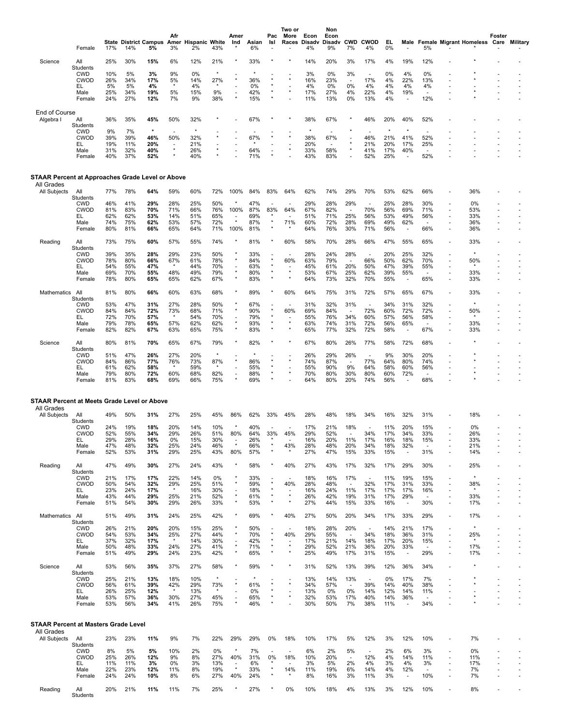|                                                                | Female                        | 17%        | <b>State District Campus</b><br>14% | 5%             | Afr<br>Amer<br>3%               | <b>Hispanic White</b><br>2% | 43%            | Amer<br>Ind                         | Asian<br>6% | Pac<br>Isl            | Two or<br>More<br>Races | Econ<br>Disadv<br>4% | Non<br>Econ<br>Disadv<br>9% | <b>CWD</b><br>7%                | <b>CWOD</b><br>4%               | EL.<br>0%      | Male                            | 5%                             |                                                      | <b>Female Migrant Homeless Care</b> | Foster | Military       |
|----------------------------------------------------------------|-------------------------------|------------|-------------------------------------|----------------|---------------------------------|-----------------------------|----------------|-------------------------------------|-------------|-----------------------|-------------------------|----------------------|-----------------------------|---------------------------------|---------------------------------|----------------|---------------------------------|--------------------------------|------------------------------------------------------|-------------------------------------|--------|----------------|
| Science                                                        | All<br>Students               | 25%        | 30%                                 | 15%            | 6%                              | 12%                         | 21%            |                                     | 33%         |                       |                         | 14%                  | 20%                         | 3%                              | 17%                             | 4%             | 19%                             | 12%                            |                                                      |                                     |        |                |
|                                                                | <b>CWD</b><br><b>CWOD</b>     | 10%<br>26% | 5%<br>34%                           | 3%<br>17%      | 9%<br>5%                        | 0%<br>14%                   | 27%            |                                     | 36%         | $\star$               |                         | 3%<br>16%            | 0%<br>23%                   | 3%<br>$\sim$                    | $\blacksquare$<br>17%           | 0%<br>4%       | 4%<br>22%                       | 0%<br>13%                      |                                                      |                                     |        |                |
|                                                                | EL                            | 5%         | 5%                                  | 4%             |                                 | 4%                          |                |                                     | 0%          |                       |                         | 4%                   | 0%                          | 0%                              | 4%                              | 4%             | 4%                              | 4%                             |                                                      |                                     |        |                |
|                                                                | Male<br>Female                | 25%<br>24% | 34%<br>27%                          | 19%<br>12%     | 5%<br>7%                        | 15%<br>9%                   | 9%<br>38%      | $\star$                             | 42%<br>15%  |                       |                         | 17%<br>11%           | 27%<br>13%                  | 4%<br>0%                        | 22%<br>13%                      | 4%<br>4%       | 19%<br>$\overline{\phantom{a}}$ | ×<br>12%                       |                                                      |                                     |        |                |
| End of Course                                                  |                               |            |                                     |                |                                 |                             |                |                                     |             |                       |                         |                      |                             |                                 |                                 |                |                                 |                                |                                                      |                                     |        |                |
| Algebra I                                                      | All<br>Students               | 36%        | 35%                                 | 45%            | 50%                             | 32%                         |                |                                     | 67%         |                       |                         | 38%                  | 67%                         |                                 | 46%                             | 20%            | 40%                             | 52%                            |                                                      |                                     |        |                |
|                                                                | <b>CWD</b><br><b>CWOD</b>     | 9%<br>39%  | 7%<br>39%                           | $\star$<br>46% | $\overline{\phantom{a}}$<br>50% | $\star$<br>32%              |                |                                     | 67%         |                       |                         | 38%                  | 67%                         |                                 | 46%                             | $\star$<br>21% | $\star$<br>41%                  | ٠<br>52%                       |                                                      |                                     |        |                |
|                                                                | EL                            | 19%        | 11%<br>32%                          | 20%            |                                 | 21%                         |                |                                     |             |                       |                         | 20%                  | 58%                         |                                 | 21%                             | 20%            | 17%                             | 25%                            |                                                      |                                     |        |                |
|                                                                | Male<br>Female                | 31%<br>40% | 37%                                 | 40%<br>52%     |                                 | 26%<br>40%                  |                |                                     | 64%<br>71%  | ÷,                    |                         | 33%<br>43%           | 83%                         |                                 | 41%<br>52%                      | 17%<br>25%     | 40%<br>$\blacksquare$           | ÷,<br>52%                      |                                                      |                                     |        |                |
| STAAR Percent at Approaches Grade Level or Above<br>All Grades |                               |            |                                     |                |                                 |                             |                |                                     |             |                       |                         |                      |                             |                                 |                                 |                |                                 |                                |                                                      |                                     |        |                |
| All Subjects                                                   | All                           | 77%        | 78%                                 | 64%            | 59%                             | 60%                         | 72%            | 100%                                | 84%         | 83%                   | 64%                     | 62%                  | 74%                         | 29%                             | 70%                             | 53%            | 62%                             | 66%                            |                                                      | 36%                                 |        |                |
|                                                                | Students<br><b>CWD</b>        | 46%        | 41%                                 | 29%            | 28%                             | 25%                         | 50%            |                                     | 47%         |                       |                         | 29%                  | 28%                         | 29%                             |                                 | 25%            | 28%                             | 30%                            |                                                      | 0%                                  |        |                |
|                                                                | <b>CWOD</b><br>EL             | 81%<br>62% | 83%<br>62%                          | 70%<br>53%     | 71%<br>14%                      | 66%<br>51%                  | 76%<br>65%     | 100%                                | 87%<br>69%  | 83%                   | 64%                     | 67%<br>51%           | 82%<br>71%                  | $\blacksquare$<br>25%           | 70%<br>56%                      | 56%<br>53%     | 69%<br>49%                      | 71%<br>56%                     | $\overline{\phantom{a}}$<br>$\overline{\phantom{a}}$ | 53%<br>33%                          |        |                |
|                                                                | Male                          | 74%        | 75%                                 | 62%            | 53%                             | 57%                         | 72%            | $\star$                             | 87%         | $\star$<br>$\star$    | 71%                     | 60%                  | 72%                         | 28%                             | 69%                             | 49%            | 62%                             | $\sim$                         |                                                      | 36%                                 |        |                |
|                                                                | Female                        | 80%        | 81%                                 | 66%            | 65%                             | 64%                         | 71%            | 100%                                | 81%         |                       |                         | 64%                  | 76%                         | 30%                             | 71%                             | 56%            | $\overline{\phantom{a}}$        | 66%                            |                                                      | 36%                                 |        |                |
| Reading                                                        | All<br>Students               | 73%        | 75%                                 | 60%            | 57%                             | 55%                         | 74%            |                                     | 81%         |                       | 60%                     | 58%                  | 70%                         | 28%                             | 66%                             | 47%            | 55%                             | 65%                            |                                                      | 33%                                 |        |                |
|                                                                | <b>CWD</b><br><b>CWOD</b>     | 39%<br>78% | 35%<br>80%                          | 28%<br>66%     | 29%<br>67%                      | 23%<br>61%                  | 50%<br>78%     |                                     | 33%<br>84%  |                       | 60%                     | 28%<br>63%           | 24%<br>79%                  | 28%<br>$\overline{\phantom{a}}$ | $\overline{a}$<br>66%           | 20%<br>50%     | 25%<br>62%                      | 32%<br>70%                     | $\overline{\phantom{a}}$                             | $\star$<br>50%                      |        |                |
|                                                                | EL.                           | 54%<br>69% | 55%<br>70%                          | 47%            | 48%                             | 44%<br>49%                  | 70%            |                                     | 63%<br>80%  | $\star$<br>$\star$    |                         | 45%<br>53%           | 61%                         | 20%<br>25%                      | 50%<br>62%                      | 47%<br>39%     | 39%                             | 55%                            |                                                      |                                     |        |                |
|                                                                | Male<br>Female                | 78%        | 80%                                 | 55%<br>65%     | 65%                             | 62%                         | 79%<br>67%     |                                     | 83%         | $\star$               | $\star$                 | 64%                  | 67%<br>73%                  | 32%                             | 70%                             | 55%            | 55%<br>$\overline{\phantom{a}}$ | 65%                            | $\overline{\phantom{a}}$<br>$\sim$                   | 33%<br>33%                          |        |                |
| Mathematics                                                    | All                           | 81%        | 80%                                 | 66%            | 60%                             | 63%                         | 68%            |                                     | 89%         |                       | 60%                     | 64%                  | 75%                         | 31%                             | 72%                             | 57%            | 65%                             | 67%                            |                                                      | 33%                                 |        |                |
|                                                                | Students<br><b>CWD</b>        | 53%        | 47%                                 | 31%            | 27%                             | 28%                         | 50%            |                                     | 67%         |                       |                         | 31%                  | 32%                         | 31%                             | $\blacksquare$                  | 34%            | 31%                             | 32%                            |                                                      |                                     |        |                |
|                                                                | <b>CWOD</b><br>EL             | 84%<br>72% | 84%<br>70%                          | 72%<br>57%     | 73%                             | 68%<br>54%                  | 71%<br>70%     |                                     | 90%<br>79%  | $\star$<br>$\star$    | 60%                     | 69%<br>55%           | 84%<br>76%                  | 34%                             | 72%<br>60%                      | 60%<br>57%     | 72%<br>56%                      | 72%<br>58%                     |                                                      | 50%                                 |        |                |
|                                                                | Male<br>Female                | 79%<br>82% | 78%<br>82%                          | 65%<br>67%     | 57%<br>63%                      | 62%<br>65%                  | 62%<br>75%     |                                     | 93%<br>83%  | $\star$               |                         | 63%<br>65%           | 74%<br>77%                  | 31%<br>32%                      | 72%<br>72%                      | 56%<br>58%     | 65%<br>$\overline{\phantom{a}}$ | 67%                            | ÷                                                    | 33%<br>33%                          |        |                |
| Science                                                        | All                           | 80%        | 81%                                 | 70%            | 65%                             | 67%                         | 79%            |                                     | 82%         |                       |                         | 67%                  | 80%                         | 26%                             | 77%                             | 58%            | 72%                             | 68%                            |                                                      |                                     |        |                |
|                                                                | Students                      |            | 47%                                 |                | 27%                             |                             | $\star$        |                                     |             |                       |                         |                      |                             |                                 |                                 |                |                                 | 20%                            |                                                      |                                     |        |                |
|                                                                | <b>CWD</b><br><b>CWOD</b>     | 51%<br>84% | 86%                                 | 26%<br>77%     | 76%                             | 20%<br>73%                  | 87%            |                                     | 86%         |                       |                         | 26%<br>74%           | 29%<br>87%                  | 26%<br>٠                        | $\blacksquare$<br>77%           | 9%<br>64%      | 30%<br>80%                      | 74%                            |                                                      |                                     |        |                |
|                                                                | EL<br>Male                    | 61%<br>79% | 62%<br>80%                          | 58%<br>72%     | 60%                             | 59%<br>68%                  | $\star$<br>82% |                                     | 55%<br>88%  | $\star$<br>$\star$    |                         | 55%<br>70%           | 90%<br>80%                  | 9%<br>30%                       | 64%<br>80%                      | 58%<br>60%     | 60%<br>72%                      | 56%<br>$\sim$                  |                                                      |                                     |        |                |
|                                                                | Female                        | 81%        | 83%                                 | 68%            | 69%                             | 66%                         | 75%            |                                     | 69%         |                       |                         | 64%                  | 80%                         | 20%                             | 74%                             | 56%            |                                 | 68%                            |                                                      |                                     |        |                |
| STAAR Percent at Meets Grade Level or Above                    |                               |            |                                     |                |                                 |                             |                |                                     |             |                       |                         |                      |                             |                                 |                                 |                |                                 |                                |                                                      |                                     |        |                |
| All Grades<br>All Subjects                                     | All                           | 49%        | 50%                                 | 31%            | 27%                             | 25%                         | 45%            | 86%                                 | 62%         | 33%                   | 45%                     | 28%                  | 48%                         | 18%                             | 34%                             | 16%            | 32%                             | 31%                            |                                                      | 18%                                 |        |                |
|                                                                | Students<br><b>CWD</b>        | 24%        | 19%                                 | 18%            | 20%                             | 14%                         | 10%            |                                     | 40%         |                       |                         | 17%                  | 21%                         | 18%                             |                                 | 11%            | 20%                             | 15%                            |                                                      | 0%                                  |        |                |
|                                                                | <b>CWOD</b><br>ᄔ              | 52%<br>29% | 55%<br>28%                          | 34%<br>16%     | 29%<br>$0\%$                    | 26%<br>15%                  | 51%<br>30%     | 80%                                 | 64%<br>26%  | 33%                   | 45%                     | 29%<br>16%           | 52%<br>20%                  | ٠<br>11%                        | 34%<br>17%                      | 17%<br>16%     | 34%<br>18%                      | 33%<br>15%                     |                                                      | 26%<br>33%                          |        |                |
|                                                                | Male                          | 47%        | 48%                                 | 32%            | 25%                             | 24%                         | 46%            | $^\star$                            | 66%         | $\star$<br>$\star$    | 43%                     | 28%                  | 48%                         | 20%                             | 34%                             | 18%            | 32%                             |                                |                                                      | 21%                                 |        |                |
|                                                                | Female                        | 52%        | 53%                                 | 31%            | 29%                             | 25%                         | 43%            | 80%                                 | 57%         |                       |                         | 27%                  | 47%                         | 15%                             | 33%                             | 15%            | $\blacksquare$                  | 31%                            | $\overline{\phantom{a}}$                             | 14%                                 |        |                |
| Reading                                                        | All<br>Students               | 47%        | 49%                                 | 30%            | 27%                             | 24%                         | 43%            | $^\star$                            | 58%         | $^{\star}$            | 40%                     | 27%                  | 43%                         | 17%                             | 32%                             | 17%            | 29%                             | 30%                            | $\overline{\phantom{a}}$                             | 25%                                 |        |                |
|                                                                | <b>CWD</b><br><b>CWOD</b>     | 21%<br>50% | 17%<br>54%                          | 17%<br>32%     | 22%<br>29%                      | 14%<br>25%                  | 0%<br>51%      |                                     | 33%<br>59%  | $\star$               | 40%                     | 18%<br>28%           | 16%<br>48%                  | 17%<br>$\sim$                   | $\overline{a}$<br>32%           | 11%<br>17%     | 19%<br>31%                      | 15%<br>33%                     | ٠<br>$\overline{a}$                                  | $\star$<br>38%                      |        |                |
|                                                                | EL.<br>Male                   | 23%<br>43% | 24%<br>44%                          | 17%<br>29%     | 25%                             | 16%<br>21%                  | 30%<br>52%     | $\overline{\phantom{a}}$            | 18%<br>61%  | $\star$<br>$\star$    |                         | 16%<br>26%           | 24%<br>42%                  | 11%<br>19%                      | 17%<br>31%                      | 17%<br>17%     | 17%<br>29%                      | 16%<br>$\blacksquare$          | $\sim$                                               | 33%                                 |        | $\blacksquare$ |
|                                                                | Female                        | 51%        | 54%                                 | 30%            | 29%                             | 26%                         | 33%            | $^\star$                            | 53%         | $\star$               |                         | 27%                  | 44%                         | 15%                             | 33%                             | 16%            | $\blacksquare$                  | 30%                            | $\overline{\phantom{a}}$<br>$\sim$                   | 17%                                 |        |                |
| <b>Mathematics</b>                                             | All                           | 51%        | 49%                                 | 31%            | 24%                             | 25%                         | 42%            | $\star$                             | 69%         |                       | 40%                     | 27%                  | 50%                         | 20%                             | 34%                             | 17%            | 33%                             | 29%                            | $\overline{\phantom{a}}$                             | 17%                                 |        |                |
|                                                                | <b>Students</b><br><b>CWD</b> | 26%        | 21%                                 | 20%            | 20%                             | 15%                         | 25%            |                                     | 50%         | ä,                    |                         | 18%                  | 28%                         | 20%                             |                                 | 14%            | 21%                             | 17%                            | $\overline{\phantom{a}}$                             | $^\star$                            |        |                |
|                                                                | <b>CWOD</b><br>EL.            | 54%<br>37% | 53%<br>32%                          | 34%<br>17%     | 25%<br>$\star$                  | 27%<br>14%                  | 44%<br>30%     | $\star$<br>$\overline{\phantom{a}}$ | 70%<br>42%  | $\star$<br>$\star$    | 40%<br>٠                | 29%<br>17%           | 55%<br>21%                  | $\sim$<br>14%                   | 34%<br>18%                      | 18%<br>17%     | 36%<br>20%                      | 31%<br>15%                     | $\overline{\phantom{a}}$<br>÷,                       | 25%<br>$\star$                      |        | ٠              |
|                                                                | Male                          | 50%        | 48%                                 | 33%            | 24%                             | 27%                         | 41%            | $^\star$<br>$\star$                 | 71%         | $_{\star}$<br>$\star$ | $\star$<br>$\star$      | 29%                  | 52%                         | 21%                             | 36%                             | 20%            | 33%                             | $\overline{a}$                 | $\overline{\phantom{a}}$                             | 17%<br>17%                          |        |                |
|                                                                | Female                        | 51%        | 49%                                 | 29%            | 24%                             | 23%                         | 42%            |                                     | 65%         |                       |                         | 25%                  | 49%                         | 17%                             | 31%                             | 15%            | $\blacksquare$                  | 29%                            | $\overline{\phantom{a}}$                             |                                     |        |                |
| Science                                                        | All<br>Students               | 53%        | 56%                                 | 35%            | 37%                             | 27%                         | 58%            |                                     | 59%         |                       |                         | 31%                  | 52%                         | 13%                             | 39%                             | 12%            | 36%                             | 34%                            |                                                      |                                     |        |                |
|                                                                | <b>CWD</b><br><b>CWOD</b>     | 25%<br>56% | 21%<br>61%                          | 13%<br>39%     | 18%<br>42%                      | 10%<br>29%                  | 73%            |                                     | 61%         | $\star$               |                         | 13%<br>34%           | 14%<br>57%                  | 13%<br>$\sim$                   | $\overline{\phantom{a}}$<br>39% | 0%<br>14%      | 17%<br>40%                      | 7%<br>38%                      | $\sim$                                               |                                     |        |                |
|                                                                | EL.<br>Male                   | 26%<br>53% | 25%<br>57%                          | 12%<br>36%     | 30%                             | 13%<br>27%                  | 45%            | $\overline{a}$                      | 0%<br>65%   | $\star$<br>$\star$    |                         | 13%<br>32%           | 0%<br>53%                   | 0%<br>17%                       | 14%<br>40%                      | 12%<br>14%     | 14%<br>36%                      | 11%<br>$\sim$                  |                                                      |                                     |        | $\blacksquare$ |
|                                                                | Female                        | 53%        | 56%                                 | 34%            | 41%                             | 26%                         | 75%            |                                     | 46%         | $\star$               |                         | 30%                  | 50%                         | 7%                              | 38%                             | 11%            | $\blacksquare$                  | 34%                            |                                                      |                                     |        |                |
| STAAR Percent at Masters Grade Level                           |                               |            |                                     |                |                                 |                             |                |                                     |             |                       |                         |                      |                             |                                 |                                 |                |                                 |                                |                                                      |                                     |        |                |
| All Grades<br>All Subjects                                     | All                           | 23%        | 23%                                 | 11%            | 9%                              | 7%                          | 22%            | 29%                                 | 29%         | 0%                    | 18%                     | 10%                  | 17%                         | 5%                              | 12%                             | 3%             | 12%                             | 10%                            | $\overline{a}$                                       | 7%                                  |        |                |
|                                                                | Students<br><b>CWD</b>        | 8%         | 5%                                  | 5%             | 10%                             | 2%                          | 0%             |                                     | 7%          | $\sim$                | ÷                       | 6%                   | 2%                          | 5%                              | $\blacksquare$                  | 2%             | 6%                              | 3%                             | $\overline{\phantom{a}}$                             | 0%                                  |        |                |
|                                                                | <b>CWOD</b>                   | 25%        | 26%                                 | 12%            | 9%                              | 8%                          | 27%            | 40%                                 | 31%         | 0%                    | 18%                     | 10%                  | 20%                         | $\sim$                          | 12%                             | 4%             | 14%                             | 11%                            | $\overline{\phantom{a}}$                             | 11%                                 |        |                |
|                                                                | EL<br>Male                    | 11%<br>22% | 11%<br>23%                          | 3%<br>12%      | 0%<br>11%                       | 3%<br>8%                    | 13%<br>19%     | $\overline{\phantom{a}}$<br>$\star$ | 6%<br>33%   | $\star$               | 14%                     | 3%<br>11%            | 5%<br>19%                   | 2%<br>6%                        | 4%<br>14%                       | 3%<br>4%       | 4%<br>12%                       | 3%<br>$\overline{\phantom{a}}$ | $\overline{\phantom{a}}$<br>٠                        | 17%<br>7%                           |        |                |
|                                                                | Female                        | 24%        | 24%                                 | 10%            | 8%                              | 6%                          | 27%            | 40%                                 | 24%         | $\star$               |                         | 8%                   | 16%                         | 3%                              | 11%                             | 3%             | $\overline{\phantom{a}}$        | 10%                            | $\overline{a}$                                       | 7%                                  |        |                |
| Reading                                                        | All<br>Students               | 20%        | 21%                                 | 11%            | 11%                             | 7%                          | 25%            |                                     | 27%         |                       | 0%                      | 10%                  | 18%                         | 4%                              | 13%                             | 3%             | 12%                             | 10%                            |                                                      | 8%                                  |        |                |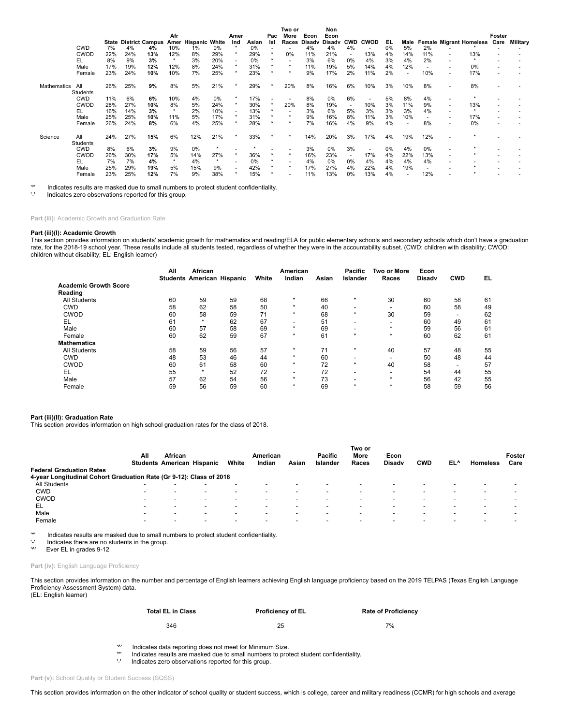|             |             |     |     |                              |           |                     |     |         |       |         | Two or  |        | Non    |                |                          |     |                          |     |                          |                                |        |          |
|-------------|-------------|-----|-----|------------------------------|-----------|---------------------|-----|---------|-------|---------|---------|--------|--------|----------------|--------------------------|-----|--------------------------|-----|--------------------------|--------------------------------|--------|----------|
|             |             |     |     |                              | Afr       |                     |     | Amer    |       | Pac     | More    | Econ   | Econ   |                |                          |     |                          |     |                          |                                | Foster |          |
|             |             |     |     | <b>State District Campus</b> |           | Amer Hispanic White |     | Ind     | Asian | Isl     | Races   | Disadv | Disadv | <b>CWD</b>     | CWOD                     | EL. | Male                     |     |                          | <b>Female Migrant Homeless</b> | Care   | Military |
|             | <b>CWD</b>  | 7%  | 4%  | 4%                           | 10%       | 1%                  | 0%  |         | 0%    |         |         | 4%     | 4%     | 4%             | $\overline{a}$           | 0%  | 5%                       | 2%  |                          |                                |        |          |
|             | <b>CWOD</b> | 22% | 24% | 13%                          | 12%       | 8%                  | 29% |         | 29%   |         | 0%      | 11%    | 21%    | $\blacksquare$ | 13%                      | 4%  | 14%                      | 11% | ٠                        | 13%                            |        |          |
|             |             | 8%  | 9%  | 3%                           | $\ddot{}$ | 3%                  |     |         | 0%    | $\star$ |         | 3%     | 6%     | $0\%$          | 4%                       | 3%  | 4%                       | 2%  |                          |                                |        |          |
|             | EL          |     |     |                              |           |                     | 20% |         |       |         | $\star$ |        |        |                |                          |     |                          |     | $\overline{\phantom{a}}$ |                                |        |          |
|             | Male        | 17% | 19% | 12%                          | 12%       | 8%                  | 24% |         | 31%   |         |         | 11%    | 19%    | 5%             | 14%                      | 4%  | 12%                      |     | $\overline{\phantom{a}}$ | 0%                             |        |          |
|             | Female      | 23% | 24% | 10%                          | 10%       | 7%                  | 25% |         | 23%   |         | ÷       | 9%     | 17%    | 2%             | 11%                      | 2%  | $\overline{a}$           | 10% | $\overline{\phantom{a}}$ | 17%                            |        |          |
| Mathematics | All         | 26% | 25% | 9%                           | 8%        | 5%                  | 21% |         | 29%   |         | 20%     | 8%     | 16%    | 6%             | 10%                      | 3%  | 10%                      | 8%  | $\overline{\phantom{a}}$ | 8%                             |        |          |
|             | Students    |     |     |                              |           |                     |     |         |       |         |         |        |        |                |                          |     |                          |     |                          |                                |        |          |
|             | <b>CWD</b>  | 11% | 6%  | 6%                           | 10%       | 4%                  | 0%  |         | 17%   | ٠       |         | 8%     | 0%     | 6%             | ۰                        | 5%  | 8%                       | 4%  |                          |                                |        |          |
|             | <b>CWOD</b> | 28% | 27% | 10%                          | 8%        | 5%                  | 24% | $\star$ | 30%   | $\star$ | 20%     | 8%     | 19%    | $\sim$         | 10%                      | 3%  | 11%                      | 9%  | ٠                        | 13%                            |        |          |
|             | EL          | 16% | 14% | 3%                           | $\star$   | 2%                  | 10% |         | 13%   |         |         | 3%     | 6%     | 5%             | 3%                       | 3%  | 3%                       | 4%  | ٠                        |                                |        |          |
|             | Male        | 25% | 25% | 10%                          | 11%       | 5%                  | 17% |         | 31%   |         |         | 9%     | 16%    | 8%             | 11%                      | 3%  | 10%                      |     | ٠                        | 17%                            |        |          |
|             | Female      | 26% | 24% | 8%                           | 6%        | 4%                  | 25% |         | 28%   |         |         | 7%     | 16%    | 4%             | 9%                       | 4%  | $\overline{\phantom{a}}$ | 8%  | ٠                        | 0%                             |        |          |
| Science     | All         | 24% | 27% | 15%                          | 6%        | 12%                 | 21% |         | 33%   |         |         | 14%    | 20%    | 3%             | 17%                      | 4%  | 19%                      | 12% | ٠                        |                                |        |          |
|             | Students    |     |     |                              |           |                     |     |         |       |         |         |        |        |                |                          |     |                          |     |                          |                                |        |          |
|             | <b>CWD</b>  | 8%  | 6%  | 3%                           | 9%        | 0%                  |     |         |       |         |         | 3%     | 0%     | 3%             | $\overline{\phantom{a}}$ | 0%  | 4%                       | 0%  | ۰                        |                                |        |          |
|             | <b>CWOD</b> | 26% | 30% | 17%                          | 5%        | 14%                 | 27% |         | 36%   |         | ÷       | 16%    | 23%    | $\sim$         | 17%                      | 4%  | 22%                      | 13% | ٠                        |                                |        |          |
|             | EL          | 7%  | 7%  | 4%                           | $\star$   | 4%                  |     |         | 0%    |         |         | 4%     | 0%     | $0\%$          | 4%                       | 4%  | 4%                       | 4%  |                          |                                |        |          |
|             | Male        | 25% | 29% | 19%                          | 5%        | 15%                 | 9%  |         | 42%   |         |         | 17%    | 27%    | 4%             | 22%                      | 4%  | 19%                      |     |                          |                                |        |          |
|             |             |     |     |                              | 7%        | 9%                  |     |         | 15%   |         |         | 11%    | 13%    | 0%             | 13%                      | 4%  |                          | 12% |                          |                                |        |          |
|             | Female      | 23% | 25% | 12%                          |           |                     | 38% |         |       |         |         |        |        |                |                          |     |                          |     |                          |                                |        |          |

'\*' Indicates results are masked due to small numbers to protect student confidentiality.

Indicates zero observations reported for this group.

**Part (iii):** Academic Growth and Graduation Rate

# **Part (iii)(I): Academic Growth**

This section provides information on students' academic growth for mathematics and reading/ELA for public elementary schools and secondary schools which don't have a graduation rate, for the 2018-19 school year. These results include all students tested, regardless of whether they were in the accountability subset. (CWD: children with disability; CWOD:<br>children without disability; EL: English lea

|                              | All | African<br><b>Students American Hispanic</b> |    | White | American<br>Indian       | Asian | Pacific<br>Islander | <b>Two or More</b><br>Races | Econ<br><b>Disady</b> | <b>CWD</b>               | EL |
|------------------------------|-----|----------------------------------------------|----|-------|--------------------------|-------|---------------------|-----------------------------|-----------------------|--------------------------|----|
| <b>Academic Growth Score</b> |     |                                              |    |       |                          |       |                     |                             |                       |                          |    |
| Reading                      |     |                                              |    |       |                          |       |                     |                             |                       |                          |    |
| <b>All Students</b>          | 60  | 59                                           | 59 | 68    | $\star$                  | 66    | $\star$             | 30                          | 60                    | 58                       | 61 |
| <b>CWD</b>                   | 58  | 62                                           | 58 | 50    | $\star$                  | 40    | -                   | -                           | 60                    | 58                       | 49 |
| <b>CWOD</b>                  | 60  | 58                                           | 59 | 71    | $\star$                  | 68    | $\star$             | 30                          | 59                    | $\overline{\phantom{a}}$ | 62 |
| EL                           | 61  | $\star$                                      | 62 | 67    | $\overline{\phantom{a}}$ | 51    | -                   | -                           | 60                    | 49                       | 61 |
| Male                         | 60  | 57                                           | 58 | 69    | $\star$                  | 69    |                     | $\star$                     | 59                    | 56                       | 61 |
| Female                       | 60  | 62                                           | 59 | 67    | $\star$                  | 61    | $\star$             | $\star$                     | 60                    | 62                       | 61 |
| <b>Mathematics</b>           |     |                                              |    |       |                          |       |                     |                             |                       |                          |    |
| <b>All Students</b>          | 58  | 59                                           | 56 | 57    | $\star$                  | 71    | $\star$             | 40                          | 57                    | 48                       | 55 |
| <b>CWD</b>                   | 48  | 53                                           | 46 | 44    | $\star$                  | 60    | -                   | -                           | 50                    | 48                       | 44 |
| CWOD                         | 60  | 61                                           | 58 | 60    | $\star$                  | 72    | $\star$             | 40                          | 58                    | $\overline{\phantom{a}}$ | 57 |
| EL                           | 55  | $\star$                                      | 52 | 72    | $\overline{\phantom{a}}$ | 72    | -                   | $\overline{\phantom{0}}$    | 54                    | 44                       | 55 |
| Male                         | 57  | 62                                           | 54 | 56    | $\star$                  | 73    |                     | ÷                           | 56                    | 42                       | 55 |
| Female                       | 59  | 56                                           | 59 | 60    | $\star$                  | 69    | $\star$             | $\star$                     | 58                    | 59                       | 56 |

### **Part (iii)(II): Graduation Rate**

This section provides information on high school graduation rates for the class of 2018.

|                                                                     | All | African |                                   |                          | American       |                          | <b>Pacific</b> | Two or<br>More | Econ          |                          |     |                          | Foster |
|---------------------------------------------------------------------|-----|---------|-----------------------------------|--------------------------|----------------|--------------------------|----------------|----------------|---------------|--------------------------|-----|--------------------------|--------|
|                                                                     |     |         | <b>Students American Hispanic</b> | White                    | Indian         | Asian                    | Islander       | Races          | <b>Disady</b> | <b>CWD</b>               | EL^ | <b>Homeless</b>          | Care   |
| <b>Federal Graduation Rates</b>                                     |     |         |                                   |                          |                |                          |                |                |               |                          |     |                          |        |
| 4-year Longitudinal Cohort Graduation Rate (Gr 9-12): Class of 2018 |     |         |                                   |                          |                |                          |                |                |               |                          |     |                          |        |
| All Students                                                        | -   |         | -                                 |                          |                |                          |                |                |               | -                        |     | $\overline{\phantom{0}}$ |        |
| <b>CWD</b>                                                          | -   |         | $\overline{\phantom{a}}$          | $\overline{\phantom{a}}$ | $\blacksquare$ |                          |                |                |               | $\overline{\phantom{0}}$ |     | $\blacksquare$           |        |
| <b>CWOD</b>                                                         |     |         | $\overline{\phantom{0}}$          |                          | -              |                          |                |                |               | $\overline{\phantom{0}}$ |     | $\overline{\phantom{0}}$ |        |
| EL                                                                  |     |         | $\overline{\phantom{0}}$          | -                        | -              | $\overline{\phantom{0}}$ | -              |                | -             | $\overline{\phantom{0}}$ | -   | -                        |        |
| Male                                                                |     |         | $\overline{\phantom{0}}$          |                          | -              |                          |                |                |               | $\overline{\phantom{0}}$ |     | $\overline{\phantom{0}}$ |        |
| Female                                                              |     |         | $\overline{\phantom{a}}$          |                          | -              | $\overline{\phantom{0}}$ | -              |                | -             | $\overline{\phantom{0}}$ |     | $\overline{\phantom{a}}$ |        |

'\*' Indicates results are masked due to small numbers to protect student confidentiality.

 $\frac{1}{2}$  Indicates there are no students in the group.

Ever EL in grades 9-12

Part (iv): English Language Proficiency

This section provides information on the number and percentage of English learners achieving English language proficiency based on the 2019 TELPAS (Texas English Language Proficiency Assessment System) data.

(EL: English learner)

| <b>Total EL in Class</b> | <b>Proficiency of EL</b> | <b>Rate of Proficiency</b> |
|--------------------------|--------------------------|----------------------------|
| 346                      | 25                       | 7%                         |

'<sup>\*</sup>' Indicates data reporting does not meet for Minimum Size.<br><sup>'\*'</sup> Indicates results are masked due to small numbers to pro

'\*' Indicates results are masked due to small numbers to protect student confidentiality.

Indicates zero observations reported for this group.

Part (v): School Quality or Student Success (SQSS)

This section provides information on the other indicator of school quality or student success, which is college, career and military readiness (CCMR) for high schools and average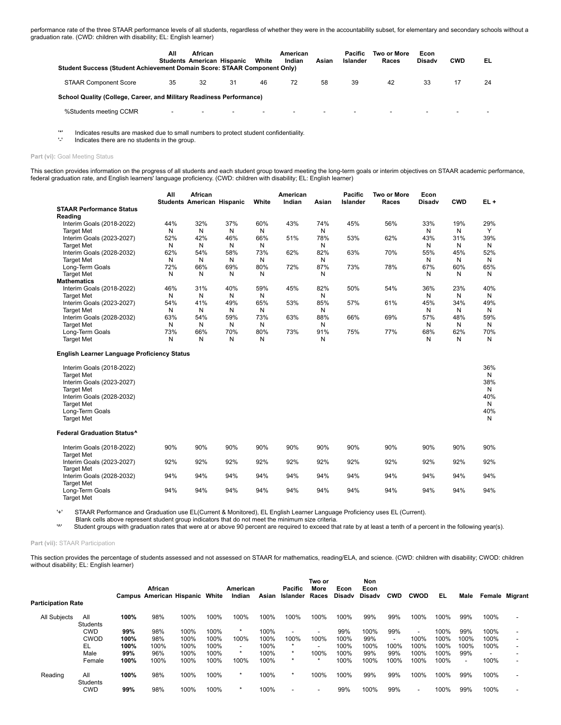performance rate of the three STAAR performance levels of all students, regardless of whether they were in the accountability subset, for elementary and secondary schools without a graduation rate. (CWD: children with disability; EL: English learner)

| <b>Student Success (Student Achievement Domain Score: STAAR Component Only)</b> | All | African                  | <b>Students American Hispanic</b> | White                    | American<br>Indian       | Asian                    | Pacific<br>Islander | Two or More<br>Races | Econ<br>Disadv | <b>CWD</b>               | EL                       |
|---------------------------------------------------------------------------------|-----|--------------------------|-----------------------------------|--------------------------|--------------------------|--------------------------|---------------------|----------------------|----------------|--------------------------|--------------------------|
| <b>STAAR Component Score</b>                                                    | 35  | 32                       | 31                                | 46                       | 72                       | 58                       | 39                  | 42                   | 33             |                          | 24                       |
| School Quality (College, Career, and Military Readiness Performance)            |     |                          |                                   |                          |                          |                          |                     |                      |                |                          |                          |
| %Students meeting CCMR                                                          |     | $\overline{\phantom{0}}$ | $\overline{\phantom{0}}$          | $\overline{\phantom{0}}$ | $\overline{\phantom{0}}$ | $\overline{\phantom{0}}$ |                     |                      | -              | $\overline{\phantom{0}}$ | $\overline{\phantom{0}}$ |

'\*' Indicates results are masked due to small numbers to protect student confidentiality.

Indicates there are no students in the group.

### Part (vi): Goal Meeting Status

This section provides information on the progress of all students and each student group toward meeting the long-term goals or interim objectives on STAAR academic performance, federal graduation rate, and English learners' language proficiency. (CWD: children with disability; EL: English learner)

|                                 | All | African<br><b>Students American Hispanic</b> |     | White | American<br>Indian | Asian | Pacific<br><b>Islander</b> | Two or More<br>Races | Econ<br><b>Disady</b> | <b>CWD</b> | $EL +$       |
|---------------------------------|-----|----------------------------------------------|-----|-------|--------------------|-------|----------------------------|----------------------|-----------------------|------------|--------------|
| <b>STAAR Performance Status</b> |     |                                              |     |       |                    |       |                            |                      |                       |            |              |
| Reading                         |     |                                              |     |       |                    |       |                            |                      |                       |            |              |
| Interim Goals (2018-2022)       | 44% | 32%                                          | 37% | 60%   | 43%                | 74%   | 45%                        | 56%                  | 33%                   | 19%        | 29%          |
| <b>Target Met</b>               | N   | N                                            | N   | N     |                    | N     |                            |                      | N                     | N          | $\checkmark$ |
| Interim Goals (2023-2027)       | 52% | 42%                                          | 46% | 66%   | 51%                | 78%   | 53%                        | 62%                  | 43%                   | 31%        | 39%          |
| <b>Target Met</b>               | N   | N                                            | N   | N     |                    | N     |                            |                      | N                     | N          | N            |
| Interim Goals (2028-2032)       | 62% | 54%                                          | 58% | 73%   | 62%                | 82%   | 63%                        | 70%                  | 55%                   | 45%        | 52%          |
| <b>Target Met</b>               | N   | N                                            | N   | N     |                    | N     |                            |                      | N                     | N          | N            |
| Long-Term Goals                 | 72% | 66%                                          | 69% | 80%   | 72%                | 87%   | 73%                        | 78%                  | 67%                   | 60%        | 65%          |
| <b>Target Met</b>               | N   | N                                            | N   | N     |                    | N     |                            |                      | N                     | N          | N            |
| <b>Mathematics</b>              |     |                                              |     |       |                    |       |                            |                      |                       |            |              |
| Interim Goals (2018-2022)       | 46% | 31%                                          | 40% | 59%   | 45%                | 82%   | 50%                        | 54%                  | 36%                   | 23%        | 40%          |
| <b>Target Met</b>               | N   | N                                            | N   | N     |                    | N     |                            |                      | N                     | N          | N            |
| Interim Goals (2023-2027)       | 54% | 41%                                          | 49% | 65%   | 53%                | 85%   | 57%                        | 61%                  | 45%                   | 34%        | 49%          |
| <b>Target Met</b>               | N   | N                                            | N   | N     |                    | N     |                            |                      | N                     | N          | N            |
| Interim Goals (2028-2032)       | 63% | 54%                                          | 59% | 73%   | 63%                | 88%   | 66%                        | 69%                  | 57%                   | 48%        | 59%          |
| <b>Target Met</b>               | N   | N                                            | N   | N     |                    | N     |                            |                      | N                     | N          | N            |
| Long-Term Goals                 | 73% | 66%                                          | 70% | 80%   | 73%                | 91%   | 75%                        | 77%                  | 68%                   | 62%        | 70%          |
| <b>Target Met</b>               | N   | N                                            | N   | N     |                    | Ν     |                            |                      | N                     | N          | N            |

### **English Learner Language Proficiency Status**

| Interim Goals (2018-2022)<br><b>Target Met</b><br>Interim Goals (2023-2027)<br><b>Target Met</b><br>Interim Goals (2028-2032)<br><b>Target Met</b><br>Long-Term Goals<br><b>Target Met</b> |     |     |     |     |     |     |     |     |     |     | 36%<br>N<br>38%<br>N<br>40%<br>N<br>40%<br>N |
|--------------------------------------------------------------------------------------------------------------------------------------------------------------------------------------------|-----|-----|-----|-----|-----|-----|-----|-----|-----|-----|----------------------------------------------|
| <b>Federal Graduation Status^</b>                                                                                                                                                          |     |     |     |     |     |     |     |     |     |     |                                              |
| Interim Goals (2018-2022)<br><b>Target Met</b>                                                                                                                                             | 90% | 90% | 90% | 90% | 90% | 90% | 90% | 90% | 90% | 90% | 90%                                          |
| Interim Goals (2023-2027)                                                                                                                                                                  | 92% | 92% | 92% | 92% | 92% | 92% | 92% | 92% | 92% | 92% | 92%                                          |
| <b>Target Met</b>                                                                                                                                                                          |     |     |     |     |     |     |     |     |     |     |                                              |
| Interim Goals (2028-2032)                                                                                                                                                                  | 94% | 94% | 94% | 94% | 94% | 94% | 94% | 94% | 94% | 94% | 94%                                          |
| <b>Target Met</b>                                                                                                                                                                          |     |     |     |     |     |     |     |     |     |     |                                              |
| Long-Term Goals                                                                                                                                                                            | 94% | 94% | 94% | 94% | 94% | 94% | 94% | 94% | 94% | 94% | 94%                                          |
| <b>Target Met</b>                                                                                                                                                                          |     |     |     |     |     |     |     |     |     |     |                                              |

'+' STAAR Performance and Graduation use EL(Current & Monitored), EL English Learner Language Proficiency uses EL (Current).

Blank cells above represent student group indicators that do not meet the minimum size criteria.<br>
"Student groups with graduation rates that were at or above 90 percent are required to exceed that

Student groups with graduation rates that were at or above 90 percent are required to exceed that rate by at least a tenth of a percent in the following year(s).

### **Part (vii):** STAAR Participation

This section provides the percentage of students assessed and not assessed on STAAR for mathematics, reading/ELA, and science. (CWD: children with disability; CWOD: children without disability; EL: English learner)

|                           |                        |      | African | <b>Campus American Hispanic White</b> |      | American<br>Indian       | Asian | Pacific<br>Islander      | Two or<br>More<br>Races  | Econ<br>Disadv | Non<br>Econ<br>Disadv | <b>CWD</b>               | <b>CWOD</b>              | EL   | Male |      | <b>Female Migrant</b> |
|---------------------------|------------------------|------|---------|---------------------------------------|------|--------------------------|-------|--------------------------|--------------------------|----------------|-----------------------|--------------------------|--------------------------|------|------|------|-----------------------|
| <b>Participation Rate</b> |                        |      |         |                                       |      |                          |       |                          |                          |                |                       |                          |                          |      |      |      |                       |
| <b>All Subjects</b>       | All<br>Students        | 100% | 98%     | 100%                                  | 100% | 100%                     | 100%  | 100%                     | 100%                     | 100%           | 99%                   | 99%                      | 100%                     | 100% | 99%  | 100% |                       |
|                           | <b>CWD</b>             | 99%  | 98%     | 100%                                  | 100% | $\star$                  | 100%  | $\overline{\phantom{a}}$ | $\overline{\phantom{a}}$ | 99%            | 100%                  | 99%                      | $\overline{\phantom{a}}$ | 100% | 99%  | 100% |                       |
|                           | <b>CWOD</b>            | 100% | 98%     | 100%                                  | 100% | 100%                     | 100%  | 100%                     | 100%                     | 100%           | 99%                   | $\overline{\phantom{a}}$ | 100%                     | 100% | 100% | 100% |                       |
|                           | EL                     | 100% | 100%    | 100%                                  | 100% | $\overline{\phantom{a}}$ | 100%  | $\star$                  |                          | 100%           | 100%                  | 100%                     | 100%                     | 100% | 100% | 100% |                       |
|                           | Male                   | 99%  | 96%     | 100%                                  | 100% | $\star$                  | 100%  | $\ast$                   | 100%                     | 100%           | 99%                   | 99%                      | 100%                     | 100% | 99%  |      |                       |
|                           | Female                 | 100% | 100%    | 100%                                  | 100% | 100%                     | 100%  | $\star$                  | $\star$                  | 100%           | 100%                  | 100%                     | 100%                     | 100% | ٠    | 100% |                       |
| Reading                   | All<br><b>Students</b> | 100% | 98%     | 100%                                  | 100% | *                        | 100%  | $\star$                  | 100%                     | 100%           | 99%                   | 99%                      | 100%                     | 100% | 99%  | 100% |                       |
|                           | <b>CWD</b>             | 99%  | 98%     | 100%                                  | 100% | $\star$                  | 100%  |                          |                          | 99%            | 100%                  | 99%                      | $\overline{\phantom{a}}$ | 100% | 99%  | 100% |                       |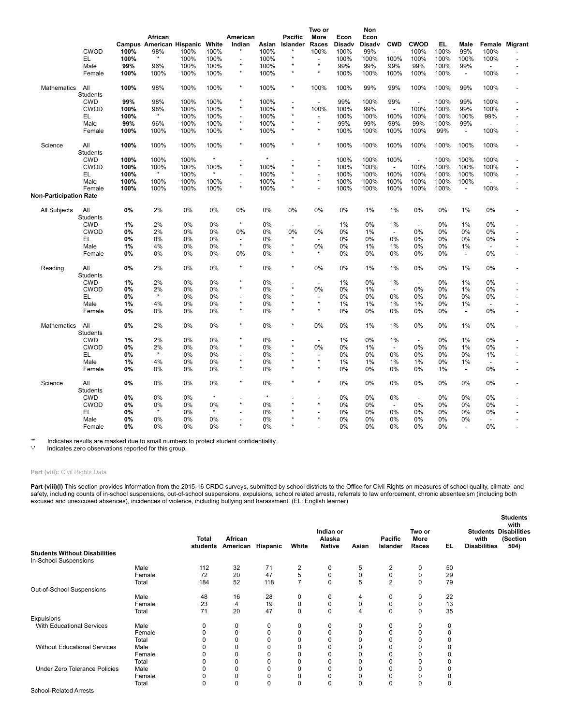|                        | <b>CWOD</b><br>EL<br>Male | 100%<br>100%<br>99% | African<br>98%<br>$\star$<br>96% | Campus American Hispanic White<br>100%<br>100%<br>100% | 100%<br>100%<br>100% | American<br>Indian<br>$\star$<br>L.<br>$\star$ | Asian<br>100%<br>100%<br>100% | <b>Pacific</b><br>Islander | Two or<br>More<br>Races<br>100%<br>$\overline{a}$<br>$\star$ | Econ<br>Disadv<br>100%<br>100%<br>99% | Non<br>Econ<br>Disadv<br>99%<br>100%<br>99% | <b>CWD</b><br>$\blacksquare$<br>100%<br>99% | <b>CWOD</b><br>100%<br>100%<br>99% | EL<br>100%<br>100%<br>100% | Male<br>99%<br>100%<br>99% | Female<br>100%<br>100%<br>$\blacksquare$ | Migrant                  |
|------------------------|---------------------------|---------------------|----------------------------------|--------------------------------------------------------|----------------------|------------------------------------------------|-------------------------------|----------------------------|--------------------------------------------------------------|---------------------------------------|---------------------------------------------|---------------------------------------------|------------------------------------|----------------------------|----------------------------|------------------------------------------|--------------------------|
|                        | Female                    | 100%                | 100%                             | 100%                                                   | 100%                 | $\star$                                        | 100%                          | $\star$                    | $\star$                                                      | 100%                                  | 100%                                        | 100%                                        | 100%                               | 100%                       | $\overline{\phantom{a}}$   | 100%                                     |                          |
| <b>Mathematics</b>     | All<br>Students           | 100%                | 98%                              | 100%                                                   | 100%                 | $\star$                                        | 100%                          | $\star$                    | 100%                                                         | 100%                                  | 99%                                         | 99%                                         | 100%                               | 100%                       | 99%                        | 100%                                     |                          |
|                        | <b>CWD</b>                | 99%                 | 98%                              | 100%                                                   | 100%                 |                                                | 100%                          |                            | $\overline{a}$                                               | 99%                                   | 100%                                        | 99%                                         | $\overline{a}$                     | 100%                       | 99%                        | 100%                                     |                          |
|                        | <b>CWOD</b>               | 100%                | 98%                              | 100%                                                   | 100%                 | $\star$                                        | 100%                          | $\star$                    | 100%                                                         | 100%                                  | 99%                                         | $\overline{\phantom{a}}$                    | 100%                               | 100%                       | 99%                        | 100%                                     |                          |
|                        | EL                        | 100%                | $\star$                          | 100%                                                   | 100%                 | $\overline{\phantom{a}}$                       | 100%                          |                            | $\overline{\phantom{a}}$<br>$\star$                          | 100%                                  | 100%                                        | 100%                                        | 100%                               | 100%                       | 100%                       | 99%                                      |                          |
|                        | Male                      | 99%                 | 96%                              | 100%                                                   | 100%                 | $\star$<br>$\star$                             | 100%                          |                            | $\star$                                                      | 99%                                   | 99%                                         | 99%                                         | 99%                                | 100%                       | 99%                        | $\overline{\phantom{a}}$                 |                          |
|                        | Female                    | 100%                | 100%                             | 100%                                                   | 100%                 |                                                | 100%                          |                            |                                                              | 100%                                  | 100%                                        | 100%                                        | 100%                               | 99%                        | $\overline{\phantom{a}}$   | 100%                                     |                          |
| Science                | All<br>Students           | 100%                | 100%                             | 100%                                                   | 100%                 | $\star$                                        | 100%                          | $\star$                    | $\star$                                                      | 100%                                  | 100%                                        | 100%                                        | 100%                               | 100%                       | 100%                       | 100%                                     |                          |
|                        | <b>CWD</b>                | 100%                | 100%                             | 100%                                                   | $\star$              |                                                | $\star$                       |                            | $\overline{\phantom{a}}$                                     | 100%                                  | 100%                                        | 100%                                        | $\overline{\phantom{a}}$           | 100%                       | 100%                       | 100%                                     |                          |
|                        | <b>CWOD</b>               | 100%                | 100%                             | 100%                                                   | 100%                 | $\star$                                        | 100%                          |                            | $\star$                                                      | 100%                                  | 100%                                        | $\overline{a}$                              | 100%                               | 100%                       | 100%                       | 100%                                     |                          |
|                        | EL                        | 100%                | $\star$                          | 100%                                                   | $\star$              |                                                | 100%                          |                            | $\overline{\phantom{a}}$                                     | 100%                                  | 100%                                        | 100%                                        | 100%                               | 100%                       | 100%                       | 100%                                     |                          |
|                        | Male                      | 100%                | 100%                             | 100%                                                   | 100%                 | $\overline{a}$                                 | 100%                          |                            | $\star$                                                      | 100%                                  | 100%                                        | 100%                                        | 100%                               | 100%                       | 100%                       | $\overline{\phantom{a}}$                 |                          |
| Non-Participation Rate | Female                    | 100%                | 100%                             | 100%                                                   | 100%                 | $\star$                                        | 100%                          |                            | $\overline{a}$                                               | 100%                                  | 100%                                        | 100%                                        | 100%                               | 100%                       | $\overline{\phantom{a}}$   | 100%                                     |                          |
|                        |                           |                     |                                  |                                                        |                      |                                                |                               |                            |                                                              |                                       |                                             |                                             |                                    |                            |                            |                                          |                          |
| All Subjects           | All<br>Students           | 0%                  | 2%                               | 0%                                                     | 0%                   | 0%                                             | 0%                            | 0%                         | 0%                                                           | 0%                                    | 1%                                          | 1%                                          | 0%                                 | 0%                         | 1%                         | 0%                                       |                          |
|                        | <b>CWD</b>                | 1%                  | 2%                               | 0%                                                     | 0%                   | $\star$                                        | 0%                            | $\overline{a}$             | $\overline{a}$                                               | 1%                                    | 0%                                          | 1%                                          | $\overline{\phantom{a}}$           | 0%                         | 1%                         | 0%                                       |                          |
|                        | <b>CWOD</b>               | 0%                  | 2%                               | 0%                                                     | 0%                   | 0%                                             | 0%                            | 0%                         | 0%                                                           | 0%                                    | 1%                                          | $\overline{\phantom{a}}$                    | 0%                                 | 0%                         | 0%                         | 0%                                       |                          |
|                        | EL                        | 0%                  | 0%                               | 0%                                                     | 0%                   | $\overline{\phantom{a}}$                       | 0%                            | $\star$                    | $\overline{\phantom{a}}$                                     | 0%                                    | 0%                                          | 0%                                          | $0\%$                              | 0%                         | 0%                         | 0%                                       | $\overline{\phantom{a}}$ |
|                        | Male                      | 1%                  | 4%                               | 0%                                                     | 0%                   | $\star$                                        | 0%                            |                            | 0%                                                           | 0%                                    | 1%                                          | 1%                                          | 0%                                 | 0%                         | 1%                         | $\overline{a}$                           |                          |
|                        | Female                    | 0%                  | 0%                               | 0%                                                     | 0%                   | 0%                                             | 0%                            | $\star$                    |                                                              | 0%                                    | 0%                                          | 0%                                          | 0%                                 | 0%                         | $\overline{\phantom{a}}$   | 0%                                       |                          |
| Reading                | All<br>Students           | 0%                  | 2%                               | 0%                                                     | 0%                   | $\star$                                        | 0%                            | $\star$                    | 0%                                                           | 0%                                    | 1%                                          | 1%                                          | 0%                                 | 0%                         | 1%                         | 0%                                       |                          |
|                        | <b>CWD</b>                | 1%                  | 2%                               | 0%                                                     | 0%                   |                                                | 0%                            |                            | $\overline{\phantom{a}}$                                     | 1%                                    | 0%                                          | 1%                                          | $\blacksquare$                     | 0%                         | 1%                         | 0%                                       |                          |
|                        | <b>CWOD</b>               | 0%                  | 2%                               | 0%                                                     | 0%                   | $\star$                                        | 0%                            |                            | 0%                                                           | 0%                                    | 1%                                          | $\overline{\phantom{a}}$                    | 0%                                 | 0%                         | 1%                         | 0%                                       |                          |
|                        | EL                        | 0%                  | $\star$                          | 0%                                                     | 0%                   |                                                | 0%                            |                            |                                                              | 0%                                    | $0\%$                                       | 0%                                          | 0%                                 | 0%                         | 0%                         | 0%                                       |                          |
|                        | Male                      | 1%                  | 4%                               | 0%                                                     | 0%                   | $\star$                                        | 0%                            |                            | $\star$                                                      | 1%                                    | 1%                                          | 1%                                          | 1%                                 | 0%                         | 1%                         | $\overline{\phantom{a}}$                 |                          |
|                        | Female                    | 0%                  | 0%                               | 0%                                                     | 0%                   | $\star$                                        | 0%                            |                            |                                                              | $0\%$                                 | 0%                                          | 0%                                          | $0\%$                              | 0%                         | $\overline{\phantom{a}}$   | 0%                                       |                          |
| Mathematics            | All<br>Students           | 0%                  | 2%                               | 0%                                                     | 0%                   | $\star$                                        | 0%                            | $\star$                    | 0%                                                           | 0%                                    | 1%                                          | 1%                                          | 0%                                 | 0%                         | 1%                         | 0%                                       |                          |
|                        | <b>CWD</b>                | 1%                  | 2%                               | 0%                                                     | 0%                   | $\star$                                        | 0%                            |                            |                                                              | 1%                                    | 0%                                          | 1%                                          | $\overline{\phantom{a}}$           | 0%                         | 1%                         | 0%                                       |                          |
|                        | <b>CWOD</b>               | 0%                  | 2%                               | 0%                                                     | 0%                   | $\star$                                        | 0%                            |                            | 0%                                                           | 0%                                    | 1%                                          | $\overline{\phantom{a}}$                    | 0%                                 | 0%                         | 1%                         | 0%                                       | $\overline{a}$           |
|                        | EL                        | 0%                  | $\star$                          | 0%                                                     | 0%                   |                                                | 0%                            |                            |                                                              | 0%                                    | $0\%$                                       | 0%                                          | 0%                                 | 0%                         | 0%                         | 1%                                       |                          |
|                        | Male                      | 1%                  | 4%                               | 0%                                                     | 0%                   |                                                | 0%                            |                            | $\star$                                                      | 1%                                    | 1%                                          | 1%                                          | 1%                                 | 0%                         | 1%                         | $\overline{a}$                           |                          |
|                        | Female                    | 0%                  | 0%                               | 0%                                                     | 0%                   | $\star$                                        | 0%                            |                            |                                                              | 0%                                    | 0%                                          | 0%                                          | 0%                                 | 1%                         | $\overline{\phantom{a}}$   | 0%                                       |                          |
| Science                | All<br>Students           | 0%                  | 0%                               | 0%                                                     | 0%                   | $\star$                                        | 0%                            | $\star$                    |                                                              | 0%                                    | $0\%$                                       | 0%                                          | $0\%$                              | 0%                         | 0%                         | 0%                                       |                          |
|                        | <b>CWD</b>                | 0%                  | $0\%$                            | 0%                                                     | $\star$              |                                                | $\star$                       |                            |                                                              | 0%                                    | $0\%$                                       | 0%                                          | $\overline{\phantom{a}}$           | 0%                         | 0%                         | 0%                                       |                          |
|                        | <b>CWOD</b>               | 0%                  | 0%                               | 0%                                                     | 0%                   |                                                | 0%                            |                            |                                                              | 0%                                    | 0%                                          | $\overline{\phantom{a}}$                    | 0%                                 | 0%                         | 0%                         | 0%                                       |                          |
|                        | EL                        | 0%                  | $\star$                          | 0%                                                     | $\star$              |                                                | 0%                            |                            |                                                              | 0%                                    | 0%                                          | 0%                                          | 0%                                 | 0%                         | 0%                         | 0%                                       |                          |
|                        | Male                      | 0%                  | 0%                               | 0%                                                     | 0%                   |                                                | 0%                            |                            |                                                              | 0%                                    | 0%                                          | 0%                                          | 0%                                 | 0%                         | 0%                         | ÷,                                       |                          |
|                        | Female                    | 0%                  | 0%                               | 0%                                                     | 0%                   |                                                | 0%                            |                            |                                                              | 0%                                    | 0%                                          | 0%                                          | 0%                                 | 0%                         | $\overline{a}$             | 0%                                       |                          |

'\*' Indicates results are masked due to small numbers to protect student confidentiality. '-' Indicates zero observations reported for this group.

# **Part (viii):** Civil Rights Data

**Part (viii)(I)** This section provides information from the 2015-16 CRDC surveys, submitted by school districts to the Office for Civil Rights on measures of school quality, climate, and<br>safety, including counts of in-scho

|                                      |        | <b>Total</b><br>students | African<br>American | Hispanic | White          | Indian or<br>Alaska<br><b>Native</b> | Asian    | Pacific<br>Islander | Two or<br>More<br>Races | EL. | with<br><b>Disabilities</b> | <b>Students</b><br>with<br><b>Students Disabilities</b><br>(Section<br>504) |
|--------------------------------------|--------|--------------------------|---------------------|----------|----------------|--------------------------------------|----------|---------------------|-------------------------|-----|-----------------------------|-----------------------------------------------------------------------------|
| <b>Students Without Disabilities</b> |        |                          |                     |          |                |                                      |          |                     |                         |     |                             |                                                                             |
| In-School Suspensions                |        |                          |                     |          |                |                                      |          |                     |                         |     |                             |                                                                             |
|                                      | Male   | 112                      | 32                  | 71       | 2              | 0                                    | 5        | 2                   | 0                       | 50  |                             |                                                                             |
|                                      | Female | 72                       | 20                  | 47       | 5              | 0                                    | 0        | 0                   | 0                       | 29  |                             |                                                                             |
|                                      | Total  | 184                      | 52                  | 118      | $\overline{7}$ | $\Omega$                             | 5        | 2                   | $\mathbf 0$             | 79  |                             |                                                                             |
| Out-of-School Suspensions            |        |                          |                     |          |                |                                      |          |                     |                         |     |                             |                                                                             |
|                                      | Male   | 48                       | 16                  | 28       | 0              | 0                                    | 4        | 0                   | 0                       | 22  |                             |                                                                             |
|                                      | Female | 23                       | 4                   | 19       | 0              | 0                                    | 0        | 0                   | 0                       | 13  |                             |                                                                             |
|                                      | Total  | 71                       | 20                  | 47       | 0              | 0                                    | 4        | $\mathbf 0$         | $\mathbf 0$             | 35  |                             |                                                                             |
| Expulsions                           |        |                          |                     |          |                |                                      |          |                     |                         |     |                             |                                                                             |
| <b>With Educational Services</b>     | Male   | 0                        | 0                   | 0        | 0              | 0                                    | 0        | 0                   | 0                       | 0   |                             |                                                                             |
|                                      | Female | 0                        | 0                   | 0        | 0              | 0                                    | $\Omega$ | $\Omega$            | 0                       | 0   |                             |                                                                             |
|                                      | Total  | O                        | 0                   | 0        | 0              | 0                                    | O        |                     | 0                       | 0   |                             |                                                                             |
| <b>Without Educational Services</b>  | Male   | 0                        |                     | 0        | 0              | 0                                    | O        |                     | 0                       | 0   |                             |                                                                             |
|                                      | Female | 0                        |                     | 0        | 0              | 0                                    |          |                     | 0                       | 0   |                             |                                                                             |
|                                      | Total  | 0                        |                     | 0        | 0              | 0                                    | ŋ        |                     | 0                       | 0   |                             |                                                                             |
| <b>Under Zero Tolerance Policies</b> | Male   | 0                        |                     | 0        | 0              | 0                                    |          |                     | 0                       | 0   |                             |                                                                             |
|                                      | Female | 0                        | 0                   | 0        | 0              | 0                                    | 0        | 0                   | 0                       | 0   |                             |                                                                             |
|                                      | Total  | 0                        | $\Omega$            | 0        | 0              | 0                                    | $\Omega$ | $\Omega$            | $\mathbf 0$             | 0   |                             |                                                                             |
| <b>School-Related Arrests</b>        |        |                          |                     |          |                |                                      |          |                     |                         |     |                             |                                                                             |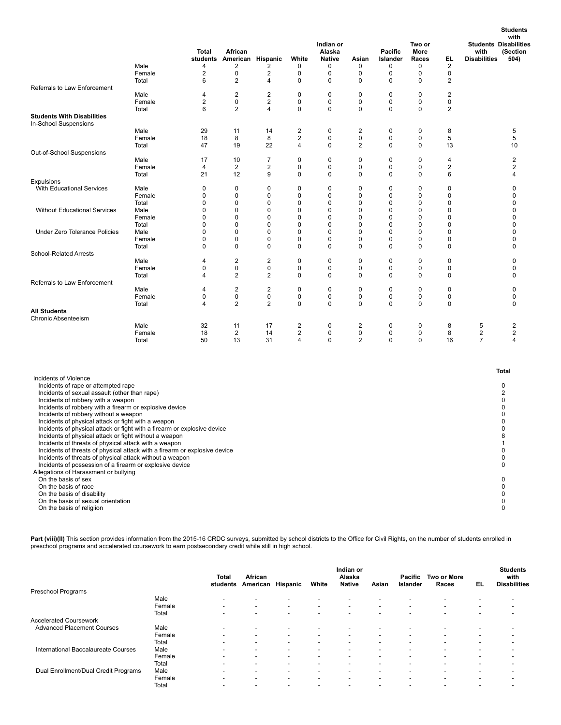|                                                                                                                                                                                                                                                                                                                                                                                                                                                                                                                                                                                                                                                     | Male<br>Female          | Total<br>4<br>2 | African<br>students American Hispanic<br>2<br>0 | 2<br>2        | White<br>0<br>0          | Indian or<br>Alaska<br><b>Native</b><br>0<br>0 | Asian<br>0<br>0          | Pacific<br>Islander<br>0<br>0   | Two or<br>More<br>Races<br>0<br>0 | EL<br>2<br>0                          | with<br><b>Disabilities</b> | with<br><b>Students Disabilities</b><br>(Section<br>504)      |
|-----------------------------------------------------------------------------------------------------------------------------------------------------------------------------------------------------------------------------------------------------------------------------------------------------------------------------------------------------------------------------------------------------------------------------------------------------------------------------------------------------------------------------------------------------------------------------------------------------------------------------------------------------|-------------------------|-----------------|-------------------------------------------------|---------------|--------------------------|------------------------------------------------|--------------------------|---------------------------------|-----------------------------------|---------------------------------------|-----------------------------|---------------------------------------------------------------|
| Referrals to Law Enforcement                                                                                                                                                                                                                                                                                                                                                                                                                                                                                                                                                                                                                        | Total<br>Male<br>Female | 6<br>4<br>2     | $\overline{2}$<br>$\overline{\mathbf{c}}$<br>0  | 4<br>2<br>2   | 0<br>0<br>0              | 0<br>$\mathbf 0$<br>0                          | 0<br>$\mathbf 0$<br>0    | 0<br>$\mathbf 0$<br>0           | 0<br>0<br>0                       | $\overline{2}$<br>$\overline{c}$<br>0 |                             |                                                               |
| <b>Students With Disabilities</b><br>In-School Suspensions                                                                                                                                                                                                                                                                                                                                                                                                                                                                                                                                                                                          | Total                   | 6               | $\overline{2}$                                  | 4             | 0                        | 0                                              | 0                        | 0                               | 0                                 | $\overline{2}$                        |                             |                                                               |
|                                                                                                                                                                                                                                                                                                                                                                                                                                                                                                                                                                                                                                                     | Male<br>Female<br>Total | 29<br>18<br>47  | 11<br>8<br>19                                   | 14<br>8<br>22 | 2<br>$\overline{2}$<br>4 | 0<br>0<br>0                                    | 2<br>0<br>$\overline{2}$ | 0<br>0<br>0                     | 0<br>0<br>0                       | 8<br>5<br>13                          |                             | 5<br>5<br>10                                                  |
| Out-of-School Suspensions                                                                                                                                                                                                                                                                                                                                                                                                                                                                                                                                                                                                                           | Male                    | 17              | 10                                              | 7             | 0                        | 0                                              | 0                        | 0                               | 0                                 | 4                                     |                             | $\overline{2}$                                                |
|                                                                                                                                                                                                                                                                                                                                                                                                                                                                                                                                                                                                                                                     | Female<br>Total         | 4<br>21         | 2<br>12                                         | 2<br>9        | 0<br>0                   | 0<br>0                                         | 0<br>0                   | 0<br>0                          | 0<br>0                            | $\overline{\mathbf{c}}$<br>6          |                             | 2<br>4                                                        |
| <b>Expulsions</b>                                                                                                                                                                                                                                                                                                                                                                                                                                                                                                                                                                                                                                   |                         |                 |                                                 |               |                          |                                                |                          |                                 |                                   |                                       |                             |                                                               |
| With Educational Services                                                                                                                                                                                                                                                                                                                                                                                                                                                                                                                                                                                                                           | Male<br>Female<br>Total | 0<br>0<br>0     | 0<br>0<br>0                                     | 0<br>0<br>0   | 0<br>0<br>0              | 0<br>0<br>0                                    | 0<br>0<br>0              | 0<br>$\mathbf 0$<br>$\mathbf 0$ | 0<br>0<br>0                       | 0<br>0<br>0                           |                             | 0<br>0<br>0                                                   |
| <b>Without Educational Services</b>                                                                                                                                                                                                                                                                                                                                                                                                                                                                                                                                                                                                                 | Male<br>Female<br>Total | 0<br>0<br>0     | 0<br>0<br>0                                     | 0<br>0<br>0   | 0<br>0<br>0              | 0<br>0<br>0                                    | 0<br>0<br>0              | 0<br>0<br>$\mathbf 0$           | 0<br>0<br>0                       | 0<br>0<br>0                           |                             | 0<br>0<br>0                                                   |
| Under Zero Tolerance Policies                                                                                                                                                                                                                                                                                                                                                                                                                                                                                                                                                                                                                       | Male<br>Female          | 0<br>0<br>0     | 0<br>0<br>0                                     | 0<br>0<br>0   | 0<br>0<br>0              | 0<br>0<br>0                                    | 0<br>0<br>0              | 0<br>0<br>0                     | 0<br>0<br>0                       | $\mathbf 0$<br>0<br>0                 |                             | 0<br>0<br>0                                                   |
| <b>School-Related Arrests</b>                                                                                                                                                                                                                                                                                                                                                                                                                                                                                                                                                                                                                       | Total                   |                 |                                                 |               |                          |                                                |                          |                                 |                                   |                                       |                             |                                                               |
|                                                                                                                                                                                                                                                                                                                                                                                                                                                                                                                                                                                                                                                     | Male<br>Female<br>Total | 4<br>0<br>4     | $\overline{\mathbf{c}}$<br>0<br>$\overline{2}$  | 2<br>0<br>2   | $\mathbf 0$<br>0<br>0    | 0<br>0<br>0                                    | $\mathbf 0$<br>0<br>0    | $\mathbf 0$<br>0<br>0           | 0<br>0<br>0                       | 0<br>0<br>0                           |                             | 0<br>0<br>0                                                   |
| Referrals to Law Enforcement                                                                                                                                                                                                                                                                                                                                                                                                                                                                                                                                                                                                                        |                         |                 |                                                 |               |                          |                                                |                          |                                 |                                   |                                       |                             |                                                               |
|                                                                                                                                                                                                                                                                                                                                                                                                                                                                                                                                                                                                                                                     | Male<br>Female<br>Total | 4<br>0<br>4     | $\overline{\mathbf{c}}$<br>0<br>$\overline{2}$  | 2<br>0<br>2   | 0<br>0<br>0              | 0<br>0<br>0                                    | $\mathbf 0$<br>0<br>0    | $\mathbf 0$<br>0<br>0           | 0<br>0<br>0                       | 0<br>$\pmb{0}$<br>$\pmb{0}$           |                             | 0<br>0<br>0                                                   |
| <b>All Students</b><br><b>Chronic Absenteeism</b>                                                                                                                                                                                                                                                                                                                                                                                                                                                                                                                                                                                                   |                         |                 |                                                 |               |                          |                                                |                          |                                 |                                   |                                       |                             |                                                               |
|                                                                                                                                                                                                                                                                                                                                                                                                                                                                                                                                                                                                                                                     | Male                    | 32              | 11                                              | 17            | $\overline{\mathbf{c}}$  | 0                                              | $\overline{\mathbf{c}}$  | 0                               | 0                                 | 8                                     | 5                           | $\overline{\mathbf{c}}$                                       |
|                                                                                                                                                                                                                                                                                                                                                                                                                                                                                                                                                                                                                                                     | Female<br>Total         | 18<br>50        | 2<br>13                                         | 14<br>31      | 2<br>4                   | 0<br>0                                         | 0<br>2                   | 0<br>0                          | 0<br>0                            | 8<br>16                               | 2<br>$\overline{7}$         | 2<br>4                                                        |
|                                                                                                                                                                                                                                                                                                                                                                                                                                                                                                                                                                                                                                                     |                         |                 |                                                 |               |                          |                                                |                          |                                 |                                   |                                       |                             |                                                               |
| Incidents of Violence<br>Incidents of rape or attempted rape                                                                                                                                                                                                                                                                                                                                                                                                                                                                                                                                                                                        |                         |                 |                                                 |               |                          |                                                |                          |                                 |                                   |                                       |                             | <b>Total</b><br>0                                             |
| Incidents of sexual assault (other than rape)<br>Incidents of robbery with a weapon<br>Incidents of robbery with a firearm or explosive device<br>Incidents of robbery without a weapon<br>Incidents of physical attack or fight with a weapon<br>Incidents of physical attack or fight with a firearm or explosive device<br>Incidents of physical attack or fight without a weapon<br>Incidents of threats of physical attack with a weapon<br>Incidents of threats of physical attack with a firearm or explosive device<br>Incidents of threats of physical attack without a weapon<br>Incidents of possession of a firearm or explosive device |                         |                 |                                                 |               |                          |                                                |                          |                                 |                                   |                                       |                             | 2<br>0<br>0<br>$\mathbf 0$<br>0<br>0<br>8<br>1<br>0<br>0<br>0 |
| Allegations of Harassment or bullying<br>On the basis of sex<br>On the basis of race<br>On the basis of disability<br>On the basis of sexual orientation<br>On the basis of religiion                                                                                                                                                                                                                                                                                                                                                                                                                                                               |                         |                 |                                                 |               |                          |                                                |                          |                                 |                                   |                                       |                             | 0<br>0<br>0<br>0<br>0                                         |

**Students**

**Part (viii)(II)** This section provides information from the 2015-16 CRDC surveys, submitted by school districts to the Office for Civil Rights, on the number of students enrolled in<br>preschool programs and accelerated cour

|                                      |        | Total<br>students        | African<br>American      | Hispanic                 | White                    | Indian or<br>Alaska<br><b>Native</b> | Asian                    | Pacific<br>Islander      | Two or More<br>Races     | EL                       | <b>Students</b><br>with<br><b>Disabilities</b> |
|--------------------------------------|--------|--------------------------|--------------------------|--------------------------|--------------------------|--------------------------------------|--------------------------|--------------------------|--------------------------|--------------------------|------------------------------------------------|
| Preschool Programs                   |        |                          |                          |                          |                          |                                      |                          |                          |                          |                          |                                                |
|                                      | Male   | $\overline{\phantom{0}}$ | $\blacksquare$           | $\overline{\phantom{a}}$ | -                        | $\overline{\phantom{a}}$             |                          |                          |                          | $\overline{\phantom{a}}$ |                                                |
|                                      | Female | $\overline{\phantom{0}}$ | $\overline{\phantom{a}}$ | $\overline{\phantom{0}}$ | $\overline{\phantom{0}}$ | $\overline{\phantom{a}}$             | $\overline{\phantom{0}}$ | $\overline{\phantom{a}}$ | $\overline{\phantom{0}}$ | $\overline{\phantom{0}}$ |                                                |
|                                      | Total  | $\overline{\phantom{0}}$ | $\overline{\phantom{a}}$ | $\overline{\phantom{0}}$ | $\overline{\phantom{a}}$ | $\overline{\phantom{a}}$             | $\overline{\phantom{a}}$ | $\overline{\phantom{a}}$ | $\overline{\phantom{0}}$ | $\overline{\phantom{0}}$ |                                                |
| <b>Accelerated Coursework</b>        |        |                          |                          |                          |                          |                                      |                          |                          |                          |                          |                                                |
| <b>Advanced Placement Courses</b>    | Male   |                          |                          |                          |                          |                                      |                          |                          |                          |                          |                                                |
|                                      | Female | $\overline{\phantom{a}}$ | $\overline{\phantom{a}}$ | $\overline{\phantom{0}}$ | $\overline{\phantom{a}}$ | $\overline{\phantom{a}}$             | $\,$                     | $\overline{\phantom{a}}$ | -                        | $\overline{\phantom{a}}$ |                                                |
|                                      | Total  | $\overline{\phantom{0}}$ | $\overline{\phantom{a}}$ | $\overline{\phantom{0}}$ | $\overline{\phantom{a}}$ | $\overline{\phantom{a}}$             | $\overline{\phantom{0}}$ | $\overline{\phantom{a}}$ | $\overline{\phantom{0}}$ | $\overline{\phantom{0}}$ |                                                |
| International Baccalaureate Courses  | Male   | $\overline{\phantom{a}}$ | ۰                        | $\overline{\phantom{0}}$ | $\overline{\phantom{a}}$ | $\overline{\phantom{a}}$             | $\overline{\phantom{0}}$ | $\overline{\phantom{a}}$ | -                        | $\overline{\phantom{a}}$ |                                                |
|                                      | Female | $\overline{\phantom{0}}$ | $\overline{\phantom{a}}$ | $\overline{\phantom{0}}$ | $\overline{\phantom{a}}$ | $\overline{\phantom{a}}$             | $\overline{\phantom{a}}$ | -                        | -                        | $\overline{\phantom{a}}$ |                                                |
|                                      | Total  | $\overline{\phantom{0}}$ | $\overline{\phantom{a}}$ | $\overline{\phantom{a}}$ |                          | $\overline{\phantom{0}}$             | $\overline{\phantom{a}}$ | $\overline{\phantom{a}}$ | ۰.                       | $\overline{\phantom{a}}$ |                                                |
| Dual Enrollment/Dual Credit Programs | Male   |                          | -                        | $\overline{\phantom{0}}$ | ۰                        | $\overline{\phantom{0}}$             | $\overline{\phantom{0}}$ | $\overline{\phantom{a}}$ | -                        | $\overline{\phantom{0}}$ |                                                |
|                                      | Female |                          |                          | $\overline{\phantom{a}}$ | -                        | -                                    | -                        | -                        |                          |                          |                                                |
|                                      | Total  |                          |                          | $\overline{\phantom{0}}$ |                          |                                      |                          |                          |                          |                          |                                                |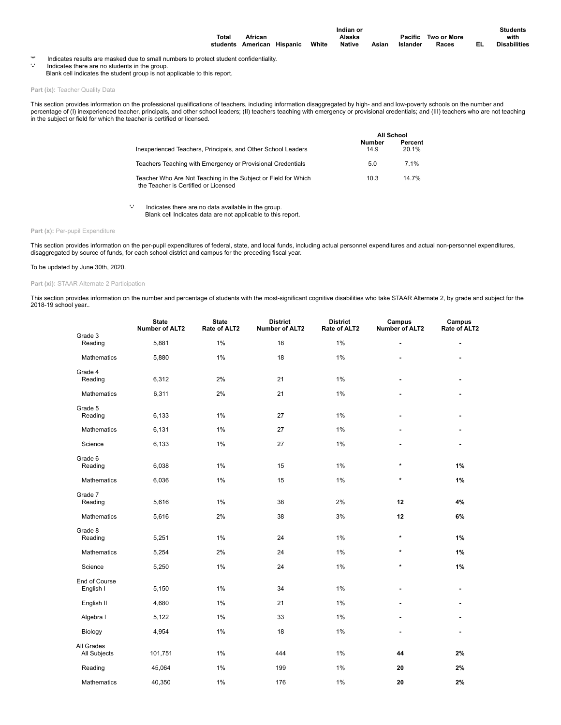|       |                                  |  | Indian or |       |          |                     | <b>Students</b>     |
|-------|----------------------------------|--|-----------|-------|----------|---------------------|---------------------|
| Total | African                          |  | Alaska    |       |          | Pacific Two or More | with                |
|       | students American Hispanic White |  | Native    | Asian | Islander | Races               | <b>Disabilities</b> |

'\*' Indicates results are masked due to small numbers to protect student confidentiality. '-' Indicates there are no students in the group.

Blank cell indicates the student group is not applicable to this report.

Part (ix): Teacher Quality Data

This section provides information on the professional qualifications of teachers, including information disaggregated by high- and and low-poverty schools on the number and percentage of (I) inexperienced teacher, principals, and other school leaders; (II) teachers teaching with emergency or provisional credentials; and (III) teachers who are not teaching<br>in the subject or field for which the

|                                                                                                        |                       | <b>All School</b> |
|--------------------------------------------------------------------------------------------------------|-----------------------|-------------------|
| Inexperienced Teachers, Principals, and Other School Leaders                                           | <b>Number</b><br>14.9 | Percent<br>20.1%  |
| Teachers Teaching with Emergency or Provisional Credentials                                            | 5.0                   | 7 1%              |
| Teacher Who Are Not Teaching in the Subject or Field for Which<br>the Teacher is Certified or Licensed | 10.3                  | 14 7%             |

'-' Indicates there are no data available in the group. Blank cell Indicates data are not applicable to this report.

### Part (x): Per-pupil Expenditure

This section provides information on the per-pupil expenditures of federal, state, and local funds, including actual personnel expenditures and actual non-personnel expenditures,<br>disaggregated by source of funds, for each

### To be updated by June 30th, 2020.

## Part (xi): STAAR Alternate 2 Participation

This section provides information on the number and percentage of students with the most-significant cognitive disabilities who take STAAR Alternate 2, by grade and subject for the 2018-19 school year..

|                            | <b>State</b><br><b>Number of ALT2</b> | <b>State</b><br>Rate of ALT2 | <b>District</b><br><b>Number of ALT2</b> | <b>District</b><br>Rate of ALT2 | Campus<br>Number of ALT2 | Campus<br>Rate of ALT2 |
|----------------------------|---------------------------------------|------------------------------|------------------------------------------|---------------------------------|--------------------------|------------------------|
| Grade 3<br>Reading         | 5,881                                 | 1%                           | 18                                       | 1%                              | ä,                       |                        |
| <b>Mathematics</b>         | 5,880                                 | 1%                           | 18                                       | 1%                              |                          |                        |
| Grade 4<br>Reading         | 6,312                                 | 2%                           | 21                                       | 1%                              | ä,                       | ٠                      |
| Mathematics                | 6,311                                 | 2%                           | 21                                       | 1%                              |                          |                        |
| Grade 5<br>Reading         | 6,133                                 | 1%                           | 27                                       | 1%                              |                          |                        |
| Mathematics                | 6,131                                 | 1%                           | 27                                       | 1%                              |                          |                        |
| Science                    | 6,133                                 | 1%                           | 27                                       | 1%                              |                          |                        |
| Grade 6<br>Reading         | 6,038                                 | 1%                           | 15                                       | 1%                              | $\star$                  | 1%                     |
| Mathematics                | 6,036                                 | 1%                           | 15                                       | 1%                              | $\star$                  | 1%                     |
| Grade 7<br>Reading         | 5,616                                 | $1\%$                        | 38                                       | 2%                              | 12                       | 4%                     |
| Mathematics                | 5,616                                 | 2%                           | 38                                       | 3%                              | 12                       | 6%                     |
| Grade 8<br>Reading         | 5,251                                 | 1%                           | 24                                       | 1%                              | $\star$                  | 1%                     |
| Mathematics                | 5,254                                 | 2%                           | 24                                       | 1%                              | $\star$                  | 1%                     |
| Science                    | 5,250                                 | 1%                           | 24                                       | 1%                              | $\star$                  | 1%                     |
| End of Course<br>English I | 5,150                                 | 1%                           | 34                                       | 1%                              |                          |                        |
| English II                 | 4,680                                 | 1%                           | 21                                       | 1%                              |                          |                        |
| Algebra I                  | 5,122                                 | 1%                           | 33                                       | 1%                              |                          |                        |
| Biology                    | 4,954                                 | 1%                           | 18                                       | 1%                              |                          | ٠                      |
| All Grades<br>All Subjects | 101,751                               | 1%                           | 444                                      | 1%                              | 44                       | 2%                     |
| Reading                    | 45,064                                | 1%                           | 199                                      | 1%                              | 20                       | 2%                     |
| Mathematics                | 40,350                                | 1%                           | 176                                      | 1%                              | 20                       | 2%                     |